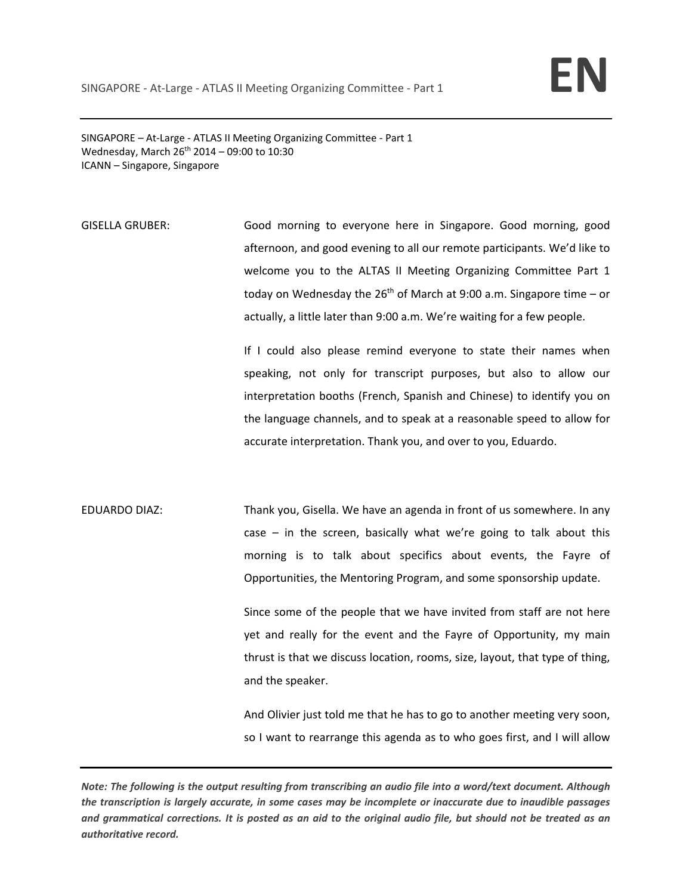SINGAPORE – At‐Large ‐ ATLAS II Meeting Organizing Committee ‐ Part 1 Wednesday, March  $26^{th}$  2014 – 09:00 to 10:30 ICANN – Singapore, Singapore

GISELLA GRUBER: Good morning to everyone here in Singapore. Good morning, good afternoon, and good evening to all our remote participants. We'd like to welcome you to the ALTAS II Meeting Organizing Committee Part 1 today on Wednesday the  $26<sup>th</sup>$  of March at 9:00 a.m. Singapore time – or actually, a little later than 9:00 a.m. We're waiting for a few people.

> If I could also please remind everyone to state their names when speaking, not only for transcript purposes, but also to allow our interpretation booths (French, Spanish and Chinese) to identify you on the language channels, and to speak at a reasonable speed to allow for accurate interpretation. Thank you, and over to you, Eduardo.

EDUARDO DIAZ: Thank you, Gisella. We have an agenda in front of us somewhere. In any case  $-$  in the screen, basically what we're going to talk about this morning is to talk about specifics about events, the Fayre of Opportunities, the Mentoring Program, and some sponsorship update.

> Since some of the people that we have invited from staff are not here yet and really for the event and the Fayre of Opportunity, my main thrust is that we discuss location, rooms, size, layout, that type of thing, and the speaker.

> And Olivier just told me that he has to go to another meeting very soon, so I want to rearrange this agenda as to who goes first, and I will allow

Note: The following is the output resulting from transcribing an audio file into a word/text document. Although the transcription is largely accurate, in some cases may be incomplete or inaccurate due to inaudible passages and grammatical corrections. It is posted as an aid to the original audio file, but should not be treated as an *authoritative record.*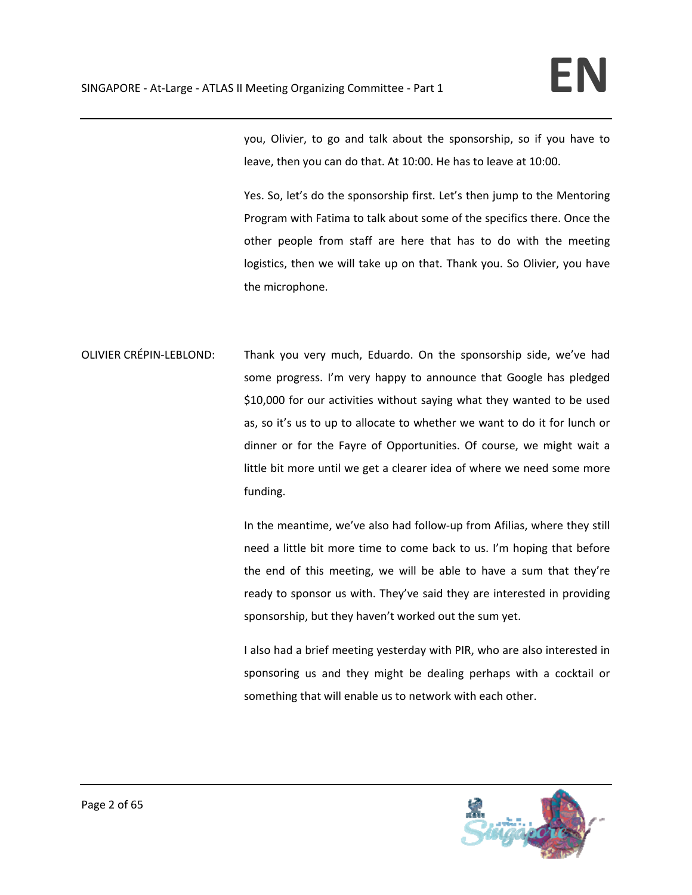you, Olivier, to go and talk about the sponsorship, so if you have to leave, then you can do that. At 10:00. He has to leave at 10:00.

Yes. So, let's do the sponsorship first. Let's then jump to the Mentoring Program with Fatima to talk about some of the specifics there. Once the other people from staff are here that has to do with the meeting logistics, then we will take up on that. Thank you. So Olivier, you have the microphone.

OLIVIER CRÉPIN‐LEBLOND: Thank you very much, Eduardo. On the sponsorship side, we've had some progress. I'm very happy to announce that Google has pledged \$10,000 for our activities without saying what they wanted to be used as, so it's us to up to allocate to whether we want to do it for lunch or dinner or for the Fayre of Opportunities. Of course, we might wait a little bit more until we get a clearer idea of where we need some more funding.

> In the meantime, we've also had follow‐up from Afilias, where they still need a little bit more time to come back to us. I'm hoping that before the end of this meeting, we will be able to have a sum that they're ready to sponsor us with. They've said they are interested in providing sponsorship, but they haven't worked out the sum yet.

> I also had a brief meeting yesterday with PIR, who are also interested in sponsoring us and they might be dealing perhaps with a cocktail or something that will enable us to network with each other.

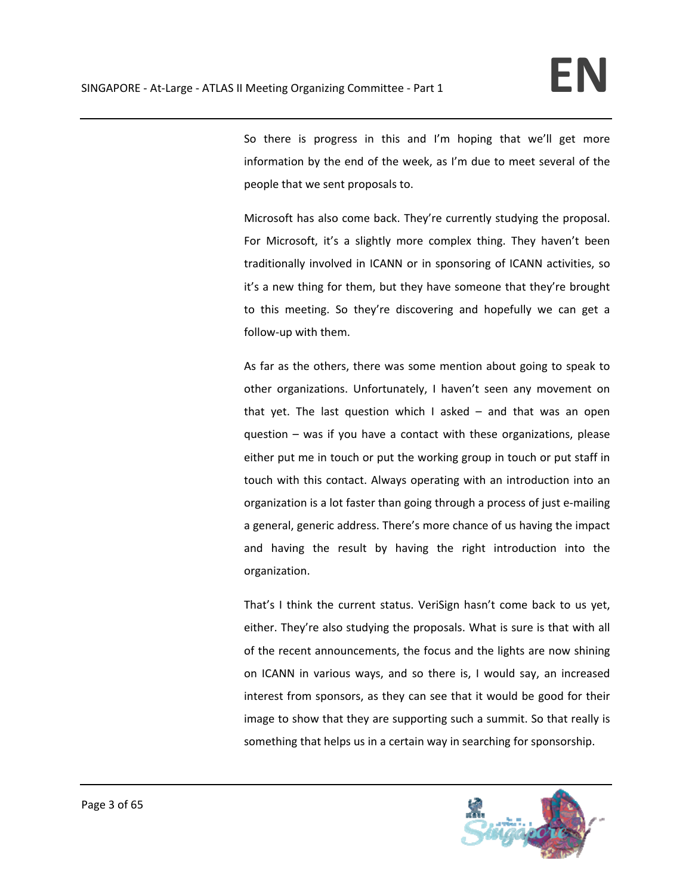So there is progress in this and I'm hoping that we'll get more information by the end of the week, as I'm due to meet several of the people that we sent proposals to.

Microsoft has also come back. They're currently studying the proposal. For Microsoft, it's a slightly more complex thing. They haven't been traditionally involved in ICANN or in sponsoring of ICANN activities, so it's a new thing for them, but they have someone that they're brought to this meeting. So they're discovering and hopefully we can get a follow‐up with them.

As far as the others, there was some mention about going to speak to other organizations. Unfortunately, I haven't seen any movement on that yet. The last question which I asked  $-$  and that was an open question – was if you have a contact with these organizations, please either put me in touch or put the working group in touch or put staff in touch with this contact. Always operating with an introduction into an organization is a lot faster than going through a process of just e‐mailing a general, generic address. There's more chance of us having the impact and having the result by having the right introduction into the organization.

That's I think the current status. VeriSign hasn't come back to us yet, either. They're also studying the proposals. What is sure is that with all of the recent announcements, the focus and the lights are now shining on ICANN in various ways, and so there is, I would say, an increased interest from sponsors, as they can see that it would be good for their image to show that they are supporting such a summit. So that really is something that helps us in a certain way in searching for sponsorship.

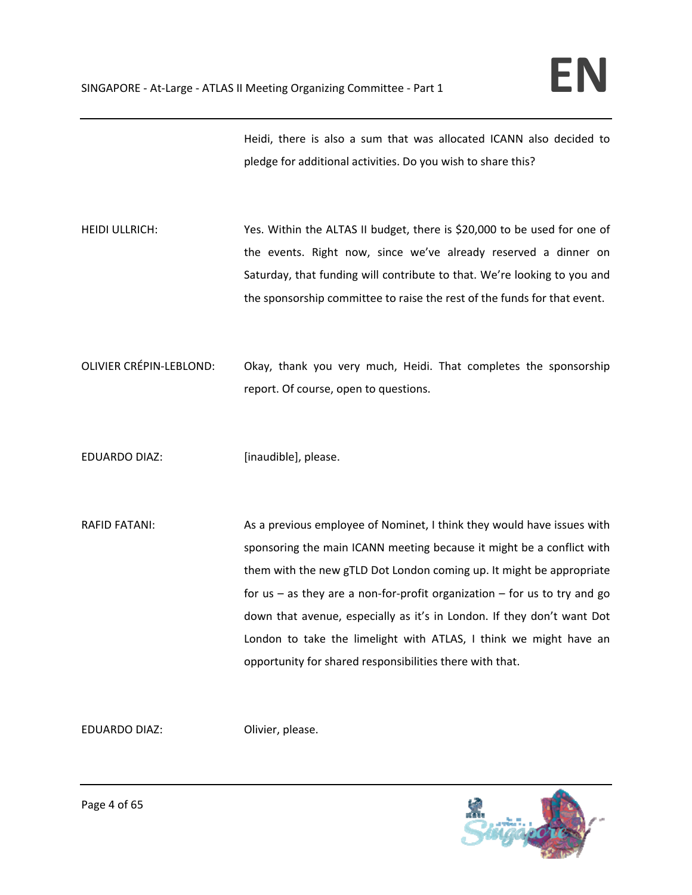Heidi, there is also a sum that was allocated ICANN also decided to pledge for additional activities. Do you wish to share this?

HEIDI ULLRICH: Yes. Within the ALTAS II budget, there is \$20,000 to be used for one of the events. Right now, since we've already reserved a dinner on Saturday, that funding will contribute to that. We're looking to you and the sponsorship committee to raise the rest of the funds for that event.

OLIVIER CRÉPIN‐LEBLOND: Okay, thank you very much, Heidi. That completes the sponsorship report. Of course, open to questions.

EDUARDO DIAZ: [inaudible], please.

RAFID FATANI: As a previous employee of Nominet, I think they would have issues with sponsoring the main ICANN meeting because it might be a conflict with them with the new gTLD Dot London coming up. It might be appropriate for us – as they are a non-for-profit organization – for us to try and go down that avenue, especially as it's in London. If they don't want Dot London to take the limelight with ATLAS, I think we might have an opportunity for shared responsibilities there with that.

EDUARDO DIAZ: Olivier, please.

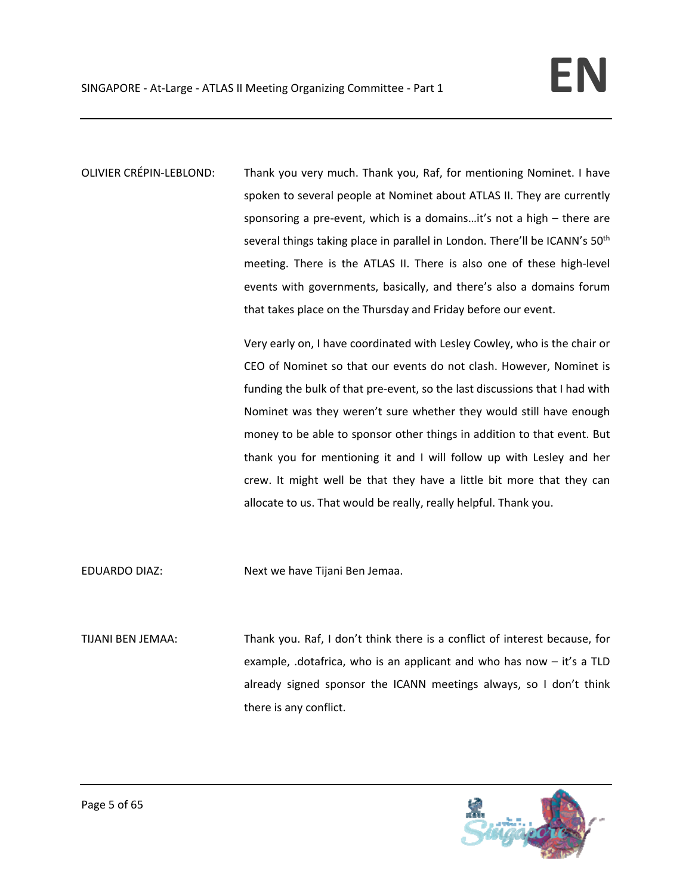OLIVIER CRÉPIN‐LEBLOND: Thank you very much. Thank you, Raf, for mentioning Nominet. I have spoken to several people at Nominet about ATLAS II. They are currently sponsoring a pre-event, which is a domains...it's not a high – there are several things taking place in parallel in London. There'll be ICANN's 50<sup>th</sup> meeting. There is the ATLAS II. There is also one of these high‐level events with governments, basically, and there's also a domains forum that takes place on the Thursday and Friday before our event.

> Very early on, I have coordinated with Lesley Cowley, who is the chair or CEO of Nominet so that our events do not clash. However, Nominet is funding the bulk of that pre‐event, so the last discussions that I had with Nominet was they weren't sure whether they would still have enough money to be able to sponsor other things in addition to that event. But thank you for mentioning it and I will follow up with Lesley and her crew. It might well be that they have a little bit more that they can allocate to us. That would be really, really helpful. Thank you.

EDUARDO DIAZ: Next we have Tijani Ben Jemaa.

TIJANI BEN JEMAA: Thank you. Raf, I don't think there is a conflict of interest because, for example, .dotafrica, who is an applicant and who has now – it's a TLD already signed sponsor the ICANN meetings always, so I don't think there is any conflict.

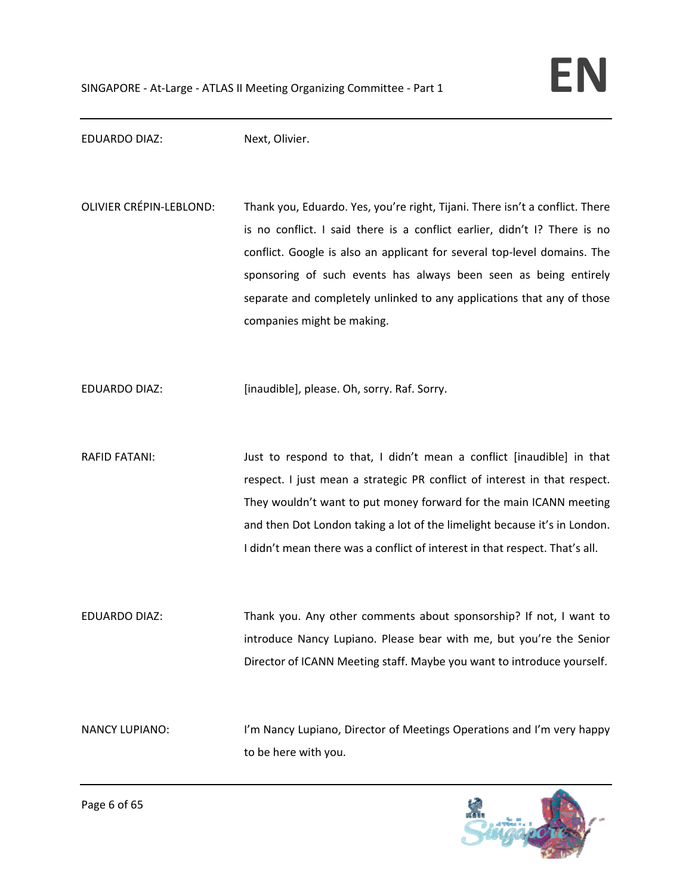EDUARDO DIAZ: Next, Olivier.

OLIVIER CRÉPIN‐LEBLOND: Thank you, Eduardo. Yes, you're right, Tijani. There isn't a conflict. There is no conflict. I said there is a conflict earlier, didn't I? There is no conflict. Google is also an applicant for several top‐level domains. The sponsoring of such events has always been seen as being entirely separate and completely unlinked to any applications that any of those companies might be making.

EDUARDO DIAZ: [inaudible], please. Oh, sorry. Raf. Sorry.

RAFID FATANI: Just to respond to that, I didn't mean a conflict [inaudible] in that respect. I just mean a strategic PR conflict of interest in that respect. They wouldn't want to put money forward for the main ICANN meeting and then Dot London taking a lot of the limelight because it's in London. I didn't mean there was a conflict of interest in that respect. That's all.

EDUARDO DIAZ: Thank you. Any other comments about sponsorship? If not, I want to introduce Nancy Lupiano. Please bear with me, but you're the Senior Director of ICANN Meeting staff. Maybe you want to introduce yourself.

NANCY LUPIANO: I'm Nancy Lupiano, Director of Meetings Operations and I'm very happy to be here with you.

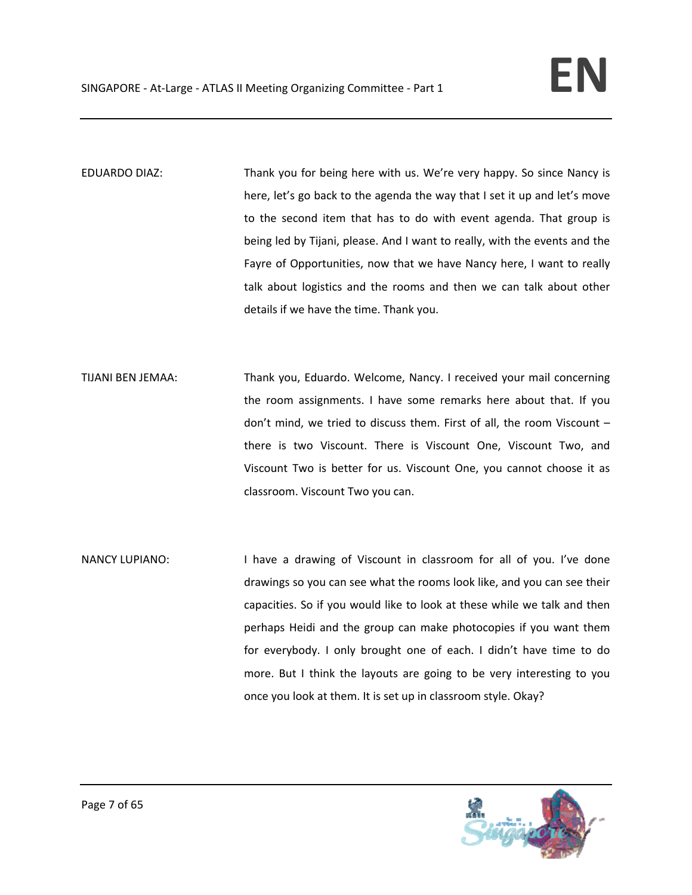- EDUARDO DIAZ: Thank you for being here with us. We're very happy. So since Nancy is here, let's go back to the agenda the way that I set it up and let's move to the second item that has to do with event agenda. That group is being led by Tijani, please. And I want to really, with the events and the Fayre of Opportunities, now that we have Nancy here, I want to really talk about logistics and the rooms and then we can talk about other details if we have the time. Thank you.
- TIJANI BEN JEMAA: Thank you, Eduardo. Welcome, Nancy. I received your mail concerning the room assignments. I have some remarks here about that. If you don't mind, we tried to discuss them. First of all, the room Viscount – there is two Viscount. There is Viscount One, Viscount Two, and Viscount Two is better for us. Viscount One, you cannot choose it as classroom. Viscount Two you can.
- NANCY LUPIANO: I have a drawing of Viscount in classroom for all of you. I've done drawings so you can see what the rooms look like, and you can see their capacities. So if you would like to look at these while we talk and then perhaps Heidi and the group can make photocopies if you want them for everybody. I only brought one of each. I didn't have time to do more. But I think the layouts are going to be very interesting to you once you look at them. It is set up in classroom style. Okay?

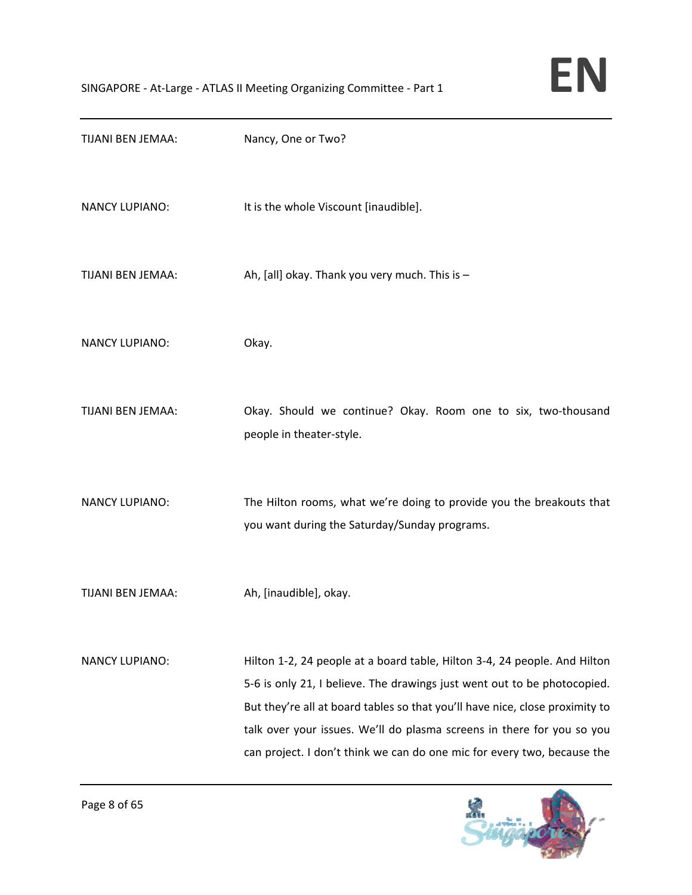

| TIJANI BEN JEMAA:     | Nancy, One or Two?                                                                                                                                                                                                                                                                                                                                                                         |
|-----------------------|--------------------------------------------------------------------------------------------------------------------------------------------------------------------------------------------------------------------------------------------------------------------------------------------------------------------------------------------------------------------------------------------|
| <b>NANCY LUPIANO:</b> | It is the whole Viscount [inaudible].                                                                                                                                                                                                                                                                                                                                                      |
| TIJANI BEN JEMAA:     | Ah, [all] okay. Thank you very much. This is -                                                                                                                                                                                                                                                                                                                                             |
| <b>NANCY LUPIANO:</b> | Okay.                                                                                                                                                                                                                                                                                                                                                                                      |
| TIJANI BEN JEMAA:     | Okay. Should we continue? Okay. Room one to six, two-thousand<br>people in theater-style.                                                                                                                                                                                                                                                                                                  |
| <b>NANCY LUPIANO:</b> | The Hilton rooms, what we're doing to provide you the breakouts that<br>you want during the Saturday/Sunday programs.                                                                                                                                                                                                                                                                      |
| TIJANI BEN JEMAA:     | Ah, [inaudible], okay.                                                                                                                                                                                                                                                                                                                                                                     |
| <b>NANCY LUPIANO:</b> | Hilton 1-2, 24 people at a board table, Hilton 3-4, 24 people. And Hilton<br>5-6 is only 21, I believe. The drawings just went out to be photocopied.<br>But they're all at board tables so that you'll have nice, close proximity to<br>talk over your issues. We'll do plasma screens in there for you so you<br>can project. I don't think we can do one mic for every two, because the |

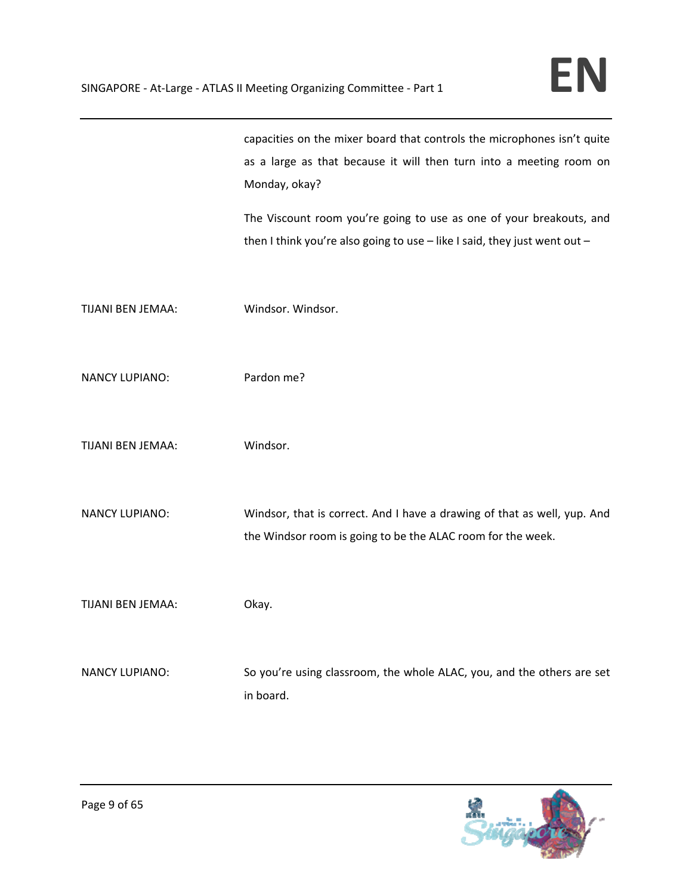|                       | capacities on the mixer board that controls the microphones isn't quite<br>as a large as that because it will then turn into a meeting room on<br>Monday, okay?<br>The Viscount room you're going to use as one of your breakouts, and<br>then I think you're also going to use $-$ like I said, they just went out $-$ |
|-----------------------|-------------------------------------------------------------------------------------------------------------------------------------------------------------------------------------------------------------------------------------------------------------------------------------------------------------------------|
| TIJANI BEN JEMAA:     | Windsor. Windsor.                                                                                                                                                                                                                                                                                                       |
| <b>NANCY LUPIANO:</b> | Pardon me?                                                                                                                                                                                                                                                                                                              |
| TIJANI BEN JEMAA:     | Windsor.                                                                                                                                                                                                                                                                                                                |
| <b>NANCY LUPIANO:</b> | Windsor, that is correct. And I have a drawing of that as well, yup. And<br>the Windsor room is going to be the ALAC room for the week.                                                                                                                                                                                 |
| TIJANI BEN JEMAA:     | Okay.                                                                                                                                                                                                                                                                                                                   |
| <b>NANCY LUPIANO:</b> | So you're using classroom, the whole ALAC, you, and the others are set<br>in board.                                                                                                                                                                                                                                     |

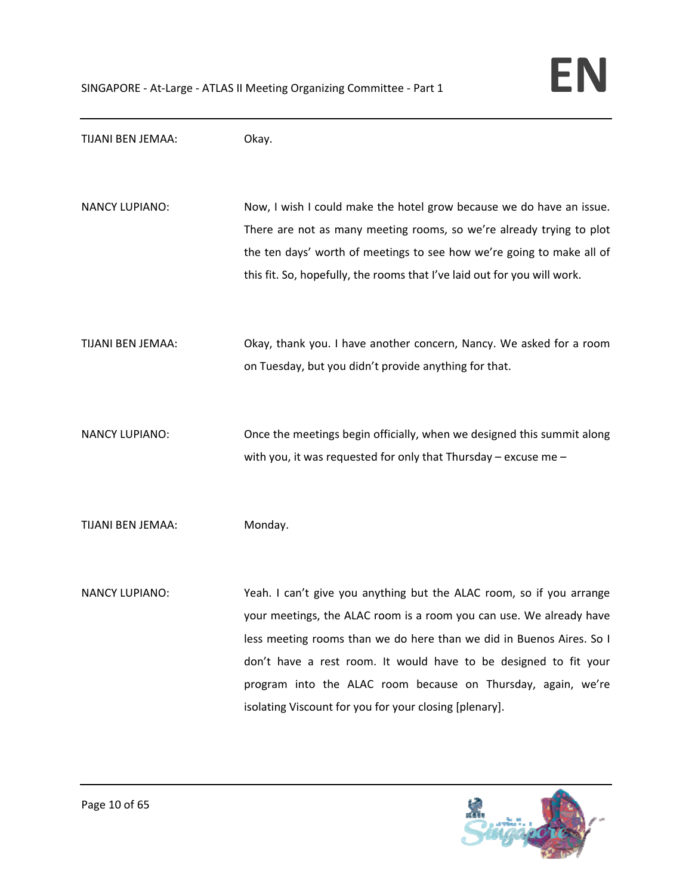TIJANI BEN JEMAA: Okay. NANCY LUPIANO: Now, I wish I could make the hotel grow because we do have an issue. There are not as many meeting rooms, so we're already trying to plot the ten days' worth of meetings to see how we're going to make all of this fit. So, hopefully, the rooms that I've laid out for you will work. TIJANI BEN JEMAA: Okay, thank you. I have another concern, Nancy. We asked for a room on Tuesday, but you didn't provide anything for that. NANCY LUPIANO: Once the meetings begin officially, when we designed this summit along with you, it was requested for only that Thursday – excuse me – TIJANI BEN JEMAA: Monday. NANCY LUPIANO: Yeah. I can't give you anything but the ALAC room, so if you arrange your meetings, the ALAC room is a room you can use. We already have less meeting rooms than we do here than we did in Buenos Aires. So I don't have a rest room. It would have to be designed to fit your program into the ALAC room because on Thursday, again, we're isolating Viscount for you for your closing [plenary].

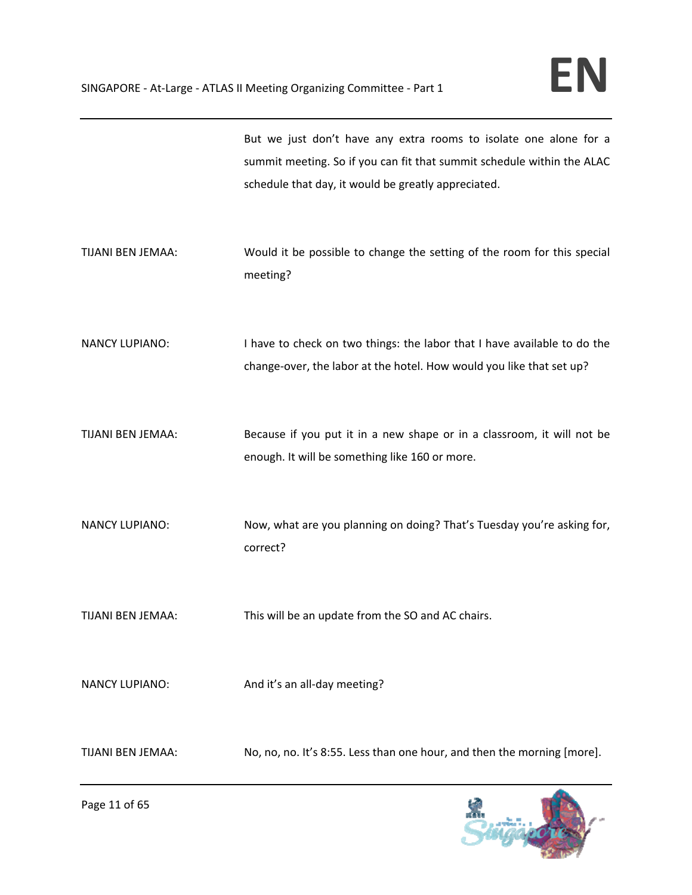|                       | But we just don't have any extra rooms to isolate one alone for a<br>summit meeting. So if you can fit that summit schedule within the ALAC<br>schedule that day, it would be greatly appreciated. |
|-----------------------|----------------------------------------------------------------------------------------------------------------------------------------------------------------------------------------------------|
| TIJANI BEN JEMAA:     | Would it be possible to change the setting of the room for this special<br>meeting?                                                                                                                |
| <b>NANCY LUPIANO:</b> | I have to check on two things: the labor that I have available to do the<br>change-over, the labor at the hotel. How would you like that set up?                                                   |
| TIJANI BEN JEMAA:     | Because if you put it in a new shape or in a classroom, it will not be<br>enough. It will be something like 160 or more.                                                                           |
| <b>NANCY LUPIANO:</b> | Now, what are you planning on doing? That's Tuesday you're asking for,<br>correct?                                                                                                                 |
| TIJANI BEN JEMAA:     | This will be an update from the SO and AC chairs.                                                                                                                                                  |
| <b>NANCY LUPIANO:</b> | And it's an all-day meeting?                                                                                                                                                                       |
| TIJANI BEN JEMAA:     | No, no, no. It's 8:55. Less than one hour, and then the morning [more].                                                                                                                            |

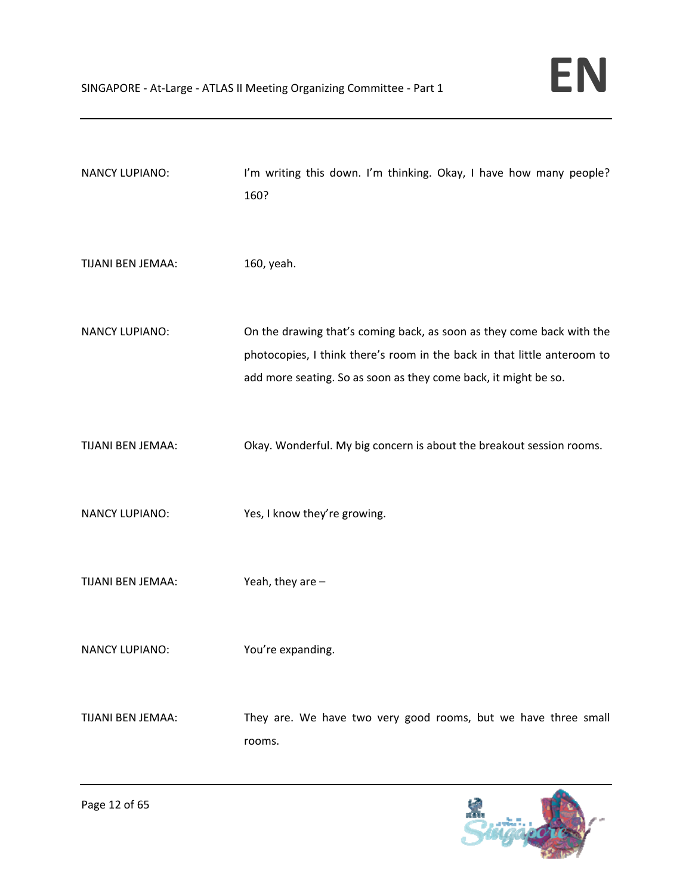| <b>NANCY LUPIANO:</b> | I'm writing this down. I'm thinking. Okay, I have how many people?<br>160?                                                                                                                                           |
|-----------------------|----------------------------------------------------------------------------------------------------------------------------------------------------------------------------------------------------------------------|
| TIJANI BEN JEMAA:     | 160, yeah.                                                                                                                                                                                                           |
| <b>NANCY LUPIANO:</b> | On the drawing that's coming back, as soon as they come back with the<br>photocopies, I think there's room in the back in that little anteroom to<br>add more seating. So as soon as they come back, it might be so. |
| TIJANI BEN JEMAA:     | Okay. Wonderful. My big concern is about the breakout session rooms.                                                                                                                                                 |
| <b>NANCY LUPIANO:</b> | Yes, I know they're growing.                                                                                                                                                                                         |
| TIJANI BEN JEMAA:     | Yeah, they are $-$                                                                                                                                                                                                   |
| <b>NANCY LUPIANO:</b> | You're expanding.                                                                                                                                                                                                    |
| TIJANI BEN JEMAA:     | They are. We have two very good rooms, but we have three small<br>rooms.                                                                                                                                             |

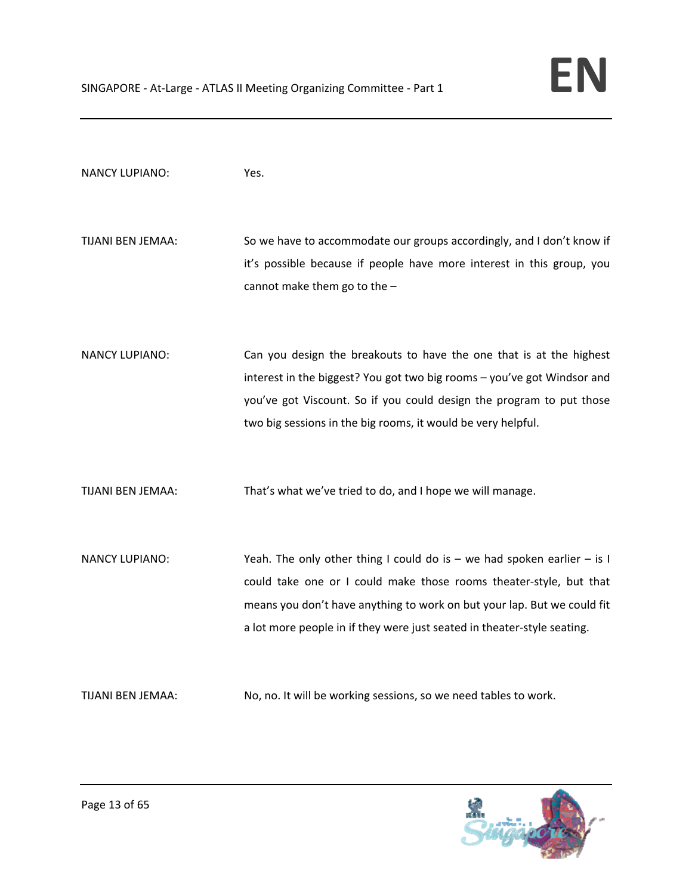| <b>NANCY LUPIANO:</b> | Yes.                                                                                                                                                                                                                                                                                                    |
|-----------------------|---------------------------------------------------------------------------------------------------------------------------------------------------------------------------------------------------------------------------------------------------------------------------------------------------------|
| TIJANI BEN JEMAA:     | So we have to accommodate our groups accordingly, and I don't know if<br>it's possible because if people have more interest in this group, you<br>cannot make them go to the -                                                                                                                          |
| <b>NANCY LUPIANO:</b> | Can you design the breakouts to have the one that is at the highest<br>interest in the biggest? You got two big rooms - you've got Windsor and<br>you've got Viscount. So if you could design the program to put those<br>two big sessions in the big rooms, it would be very helpful.                  |
| TIJANI BEN JEMAA:     | That's what we've tried to do, and I hope we will manage.                                                                                                                                                                                                                                               |
| <b>NANCY LUPIANO:</b> | Yeah. The only other thing I could do is $-$ we had spoken earlier $-$ is I<br>could take one or I could make those rooms theater-style, but that<br>means you don't have anything to work on but your lap. But we could fit<br>a lot more people in if they were just seated in theater-style seating. |
| TIJANI BEN JEMAA:     | No, no. It will be working sessions, so we need tables to work.                                                                                                                                                                                                                                         |

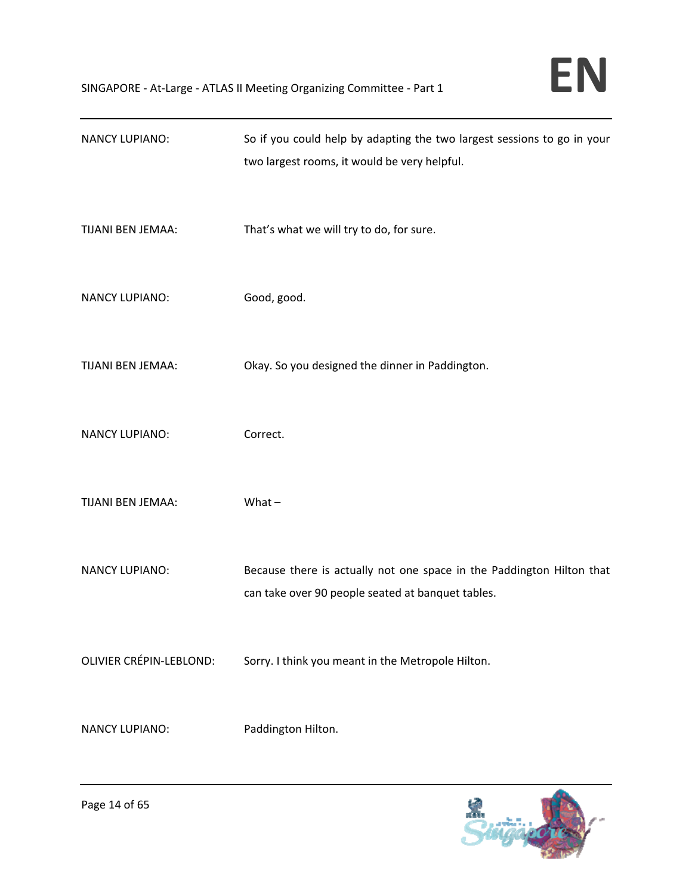| <b>NANCY LUPIANO:</b>   | So if you could help by adapting the two largest sessions to go in your<br>two largest rooms, it would be very helpful.    |
|-------------------------|----------------------------------------------------------------------------------------------------------------------------|
| TIJANI BEN JEMAA:       | That's what we will try to do, for sure.                                                                                   |
| <b>NANCY LUPIANO:</b>   | Good, good.                                                                                                                |
| TIJANI BEN JEMAA:       | Okay. So you designed the dinner in Paddington.                                                                            |
| <b>NANCY LUPIANO:</b>   | Correct.                                                                                                                   |
| TIJANI BEN JEMAA:       | What $-$                                                                                                                   |
| <b>NANCY LUPIANO:</b>   | Because there is actually not one space in the Paddington Hilton that<br>can take over 90 people seated at banquet tables. |
| OLIVIER CRÉPIN-LEBLOND: | Sorry. I think you meant in the Metropole Hilton.                                                                          |
| <b>NANCY LUPIANO:</b>   | Paddington Hilton.                                                                                                         |

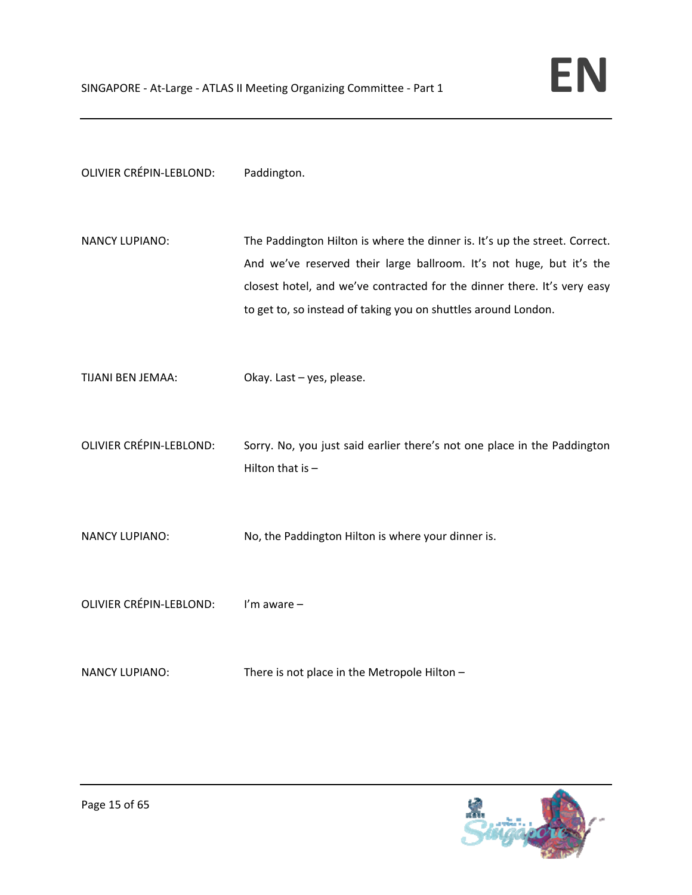| OLIVIER CRÉPIN-LEBLOND: | Paddington. |
|-------------------------|-------------|
|-------------------------|-------------|

- NANCY LUPIANO: The Paddington Hilton is where the dinner is. It's up the street. Correct. And we've reserved their large ballroom. It's not huge, but it's the closest hotel, and we've contracted for the dinner there. It's very easy to get to, so instead of taking you on shuttles around London.
- TIJANI BEN JEMAA: Okay. Last yes, please.
- OLIVIER CRÉPIN‐LEBLOND: Sorry. No, you just said earlier there's not one place in the Paddington Hilton that is  $-$
- NANCY LUPIANO: No, the Paddington Hilton is where your dinner is.
- OLIVIER CRÉPIN‐LEBLOND: I'm aware –
- NANCY LUPIANO: There is not place in the Metropole Hilton –

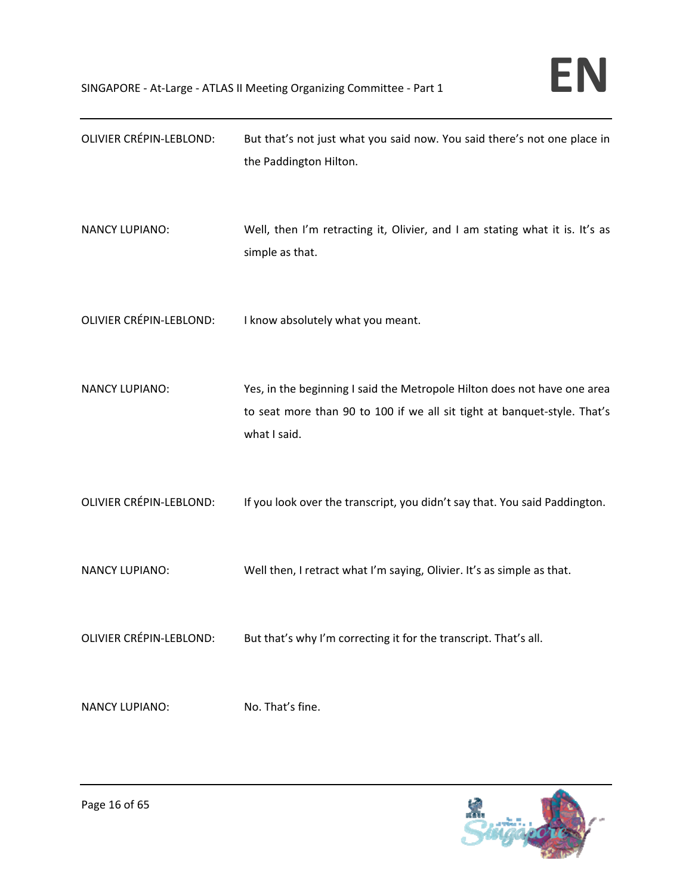| <b>OLIVIER CRÉPIN-LEBLOND:</b> | But that's not just what you said now. You said there's not one place in<br>the Paddington Hilton.                                                                   |
|--------------------------------|----------------------------------------------------------------------------------------------------------------------------------------------------------------------|
| <b>NANCY LUPIANO:</b>          | Well, then I'm retracting it, Olivier, and I am stating what it is. It's as<br>simple as that.                                                                       |
| <b>OLIVIER CRÉPIN-LEBLOND:</b> | I know absolutely what you meant.                                                                                                                                    |
| <b>NANCY LUPIANO:</b>          | Yes, in the beginning I said the Metropole Hilton does not have one area<br>to seat more than 90 to 100 if we all sit tight at banquet-style. That's<br>what I said. |
| <b>OLIVIER CRÉPIN-LEBLOND:</b> | If you look over the transcript, you didn't say that. You said Paddington.                                                                                           |
| <b>NANCY LUPIANO:</b>          | Well then, I retract what I'm saying, Olivier. It's as simple as that.                                                                                               |
| <b>OLIVIER CRÉPIN-LEBLOND:</b> | But that's why I'm correcting it for the transcript. That's all.                                                                                                     |
| <b>NANCY LUPIANO:</b>          | No. That's fine.                                                                                                                                                     |

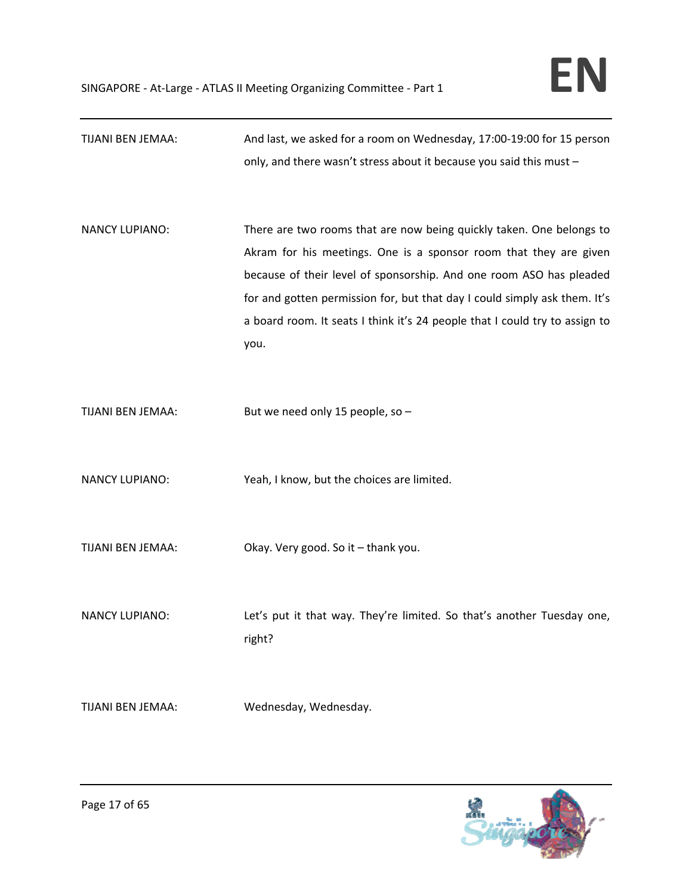| TIJANI BEN JEMAA:     | And last, we asked for a room on Wednesday, 17:00-19:00 for 15 person                                                                     |
|-----------------------|-------------------------------------------------------------------------------------------------------------------------------------------|
|                       | only, and there wasn't stress about it because you said this must -                                                                       |
| <b>NANCY LUPIANO:</b> | There are two rooms that are now being quickly taken. One belongs to<br>Akram for his meetings. One is a sponsor room that they are given |
|                       | because of their level of sponsorship. And one room ASO has pleaded                                                                       |
|                       | for and gotten permission for, but that day I could simply ask them. It's                                                                 |
|                       | a board room. It seats I think it's 24 people that I could try to assign to                                                               |
|                       | you.                                                                                                                                      |
| TIJANI BEN JEMAA:     | But we need only 15 people, so -                                                                                                          |
| <b>NANCY LUPIANO:</b> | Yeah, I know, but the choices are limited.                                                                                                |
| TIJANI BEN JEMAA:     | Okay. Very good. So it - thank you.                                                                                                       |
| <b>NANCY LUPIANO:</b> | Let's put it that way. They're limited. So that's another Tuesday one,<br>right?                                                          |
| TIJANI BEN JEMAA:     | Wednesday, Wednesday.                                                                                                                     |

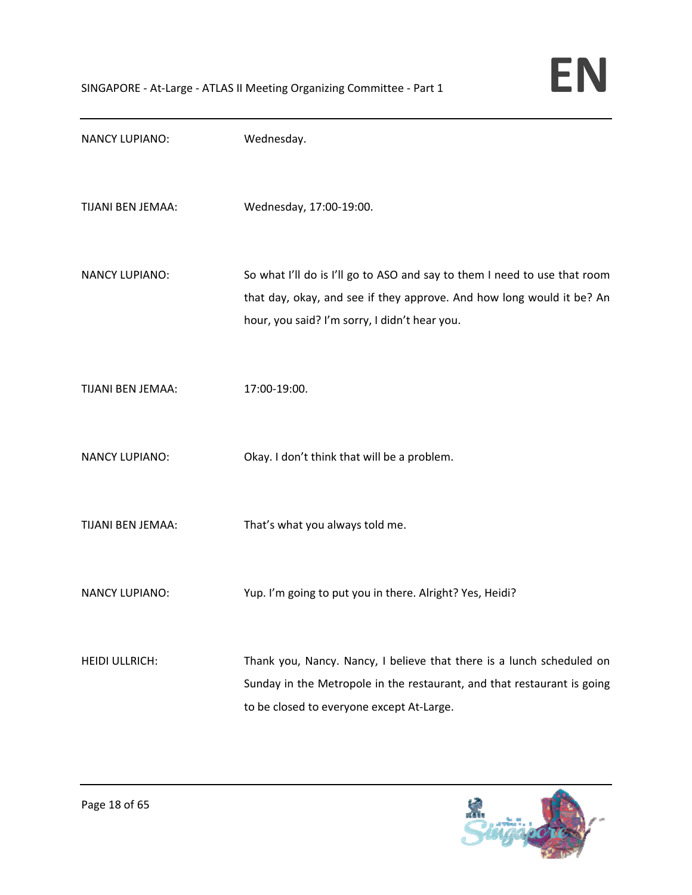

| <b>NANCY LUPIANO:</b> | Wednesday.                                                                                                                                                                                          |
|-----------------------|-----------------------------------------------------------------------------------------------------------------------------------------------------------------------------------------------------|
| TIJANI BEN JEMAA:     | Wednesday, 17:00-19:00.                                                                                                                                                                             |
| <b>NANCY LUPIANO:</b> | So what I'll do is I'll go to ASO and say to them I need to use that room<br>that day, okay, and see if they approve. And how long would it be? An<br>hour, you said? I'm sorry, I didn't hear you. |
| TIJANI BEN JEMAA:     | 17:00-19:00.                                                                                                                                                                                        |
| <b>NANCY LUPIANO:</b> | Okay. I don't think that will be a problem.                                                                                                                                                         |
| TIJANI BEN JEMAA:     | That's what you always told me.                                                                                                                                                                     |
| <b>NANCY LUPIANO:</b> | Yup. I'm going to put you in there. Alright? Yes, Heidi?                                                                                                                                            |
| <b>HEIDI ULLRICH:</b> | Thank you, Nancy. Nancy, I believe that there is a lunch scheduled on<br>Sunday in the Metropole in the restaurant, and that restaurant is going<br>to be closed to everyone except At-Large.       |

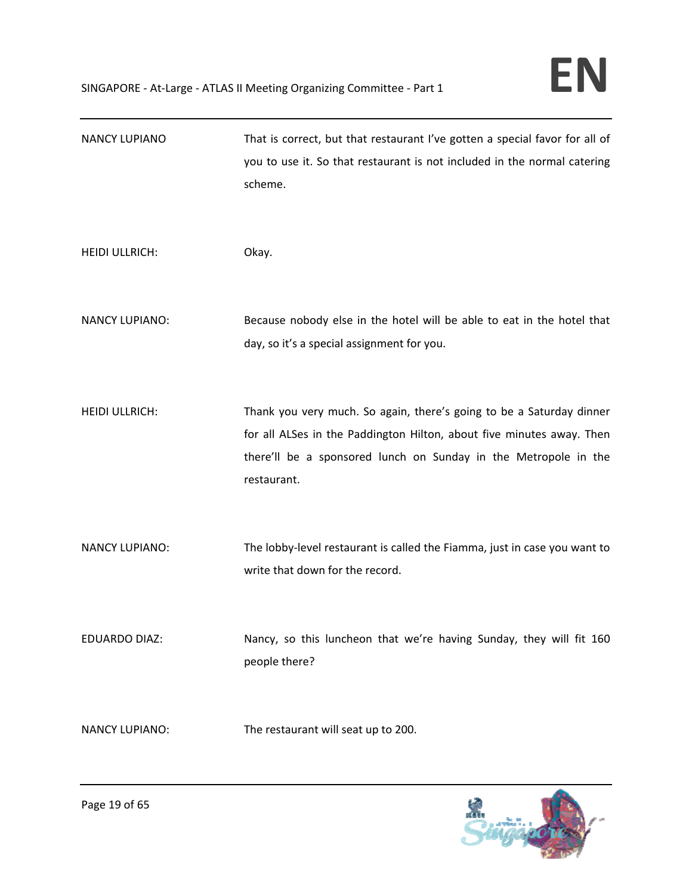| <b>NANCY LUPIANO</b>  | That is correct, but that restaurant I've gotten a special favor for all of<br>you to use it. So that restaurant is not included in the normal catering<br>scheme.                                                              |
|-----------------------|---------------------------------------------------------------------------------------------------------------------------------------------------------------------------------------------------------------------------------|
| <b>HEIDI ULLRICH:</b> | Okay.                                                                                                                                                                                                                           |
| <b>NANCY LUPIANO:</b> | Because nobody else in the hotel will be able to eat in the hotel that<br>day, so it's a special assignment for you.                                                                                                            |
| <b>HEIDI ULLRICH:</b> | Thank you very much. So again, there's going to be a Saturday dinner<br>for all ALSes in the Paddington Hilton, about five minutes away. Then<br>there'll be a sponsored lunch on Sunday in the Metropole in the<br>restaurant. |
| <b>NANCY LUPIANO:</b> | The lobby-level restaurant is called the Fiamma, just in case you want to<br>write that down for the record.                                                                                                                    |
| EDUARDO DIAZ:         | Nancy, so this luncheon that we're having Sunday, they will fit 160<br>people there?                                                                                                                                            |
| <b>NANCY LUPIANO:</b> | The restaurant will seat up to 200.                                                                                                                                                                                             |

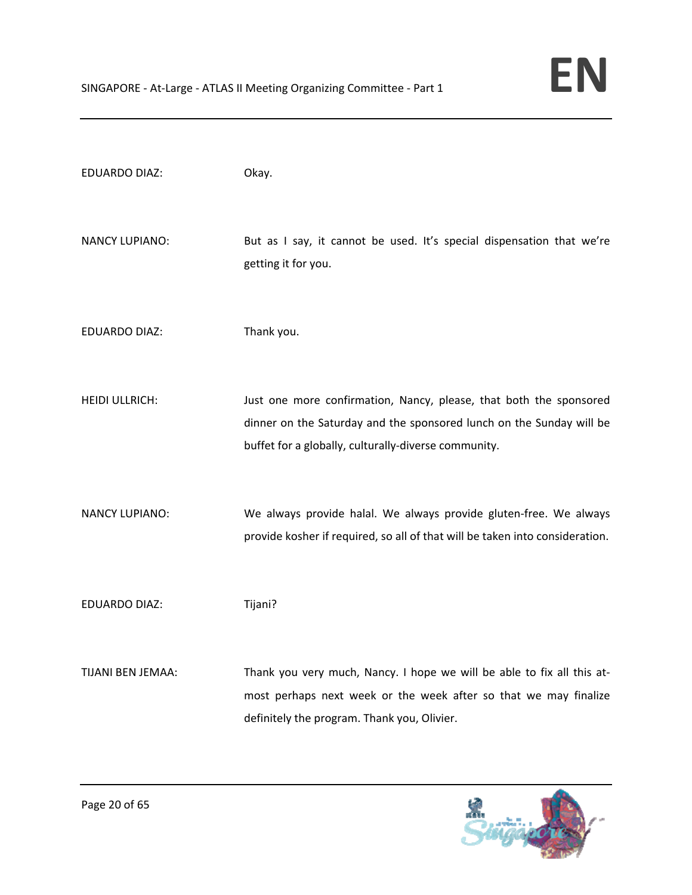| <b>EDUARDO DIAZ:</b>  | Okay.                                                                                                                                                                                              |
|-----------------------|----------------------------------------------------------------------------------------------------------------------------------------------------------------------------------------------------|
| <b>NANCY LUPIANO:</b> | But as I say, it cannot be used. It's special dispensation that we're<br>getting it for you.                                                                                                       |
| <b>EDUARDO DIAZ:</b>  | Thank you.                                                                                                                                                                                         |
| <b>HEIDI ULLRICH:</b> | Just one more confirmation, Nancy, please, that both the sponsored<br>dinner on the Saturday and the sponsored lunch on the Sunday will be<br>buffet for a globally, culturally-diverse community. |
| <b>NANCY LUPIANO:</b> | We always provide halal. We always provide gluten-free. We always<br>provide kosher if required, so all of that will be taken into consideration.                                                  |
| <b>EDUARDO DIAZ:</b>  | Tijani?                                                                                                                                                                                            |
| TIJANI BEN JEMAA:     | Thank you very much, Nancy. I hope we will be able to fix all this at-<br>most perhaps next week or the week after so that we may finalize<br>definitely the program. Thank you, Olivier.          |

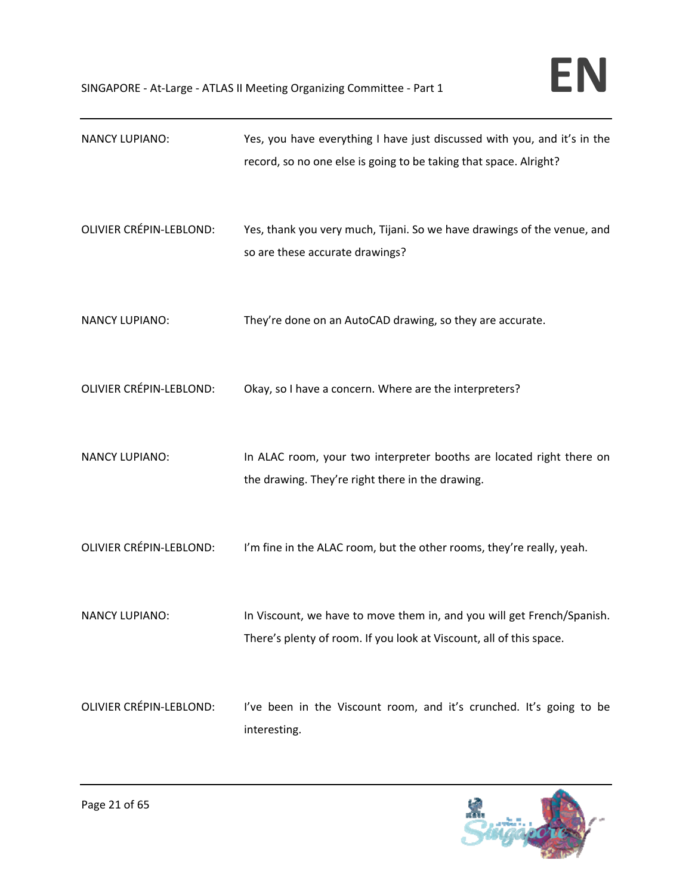| <b>NANCY LUPIANO:</b>          | Yes, you have everything I have just discussed with you, and it's in the<br>record, so no one else is going to be taking that space. Alright? |
|--------------------------------|-----------------------------------------------------------------------------------------------------------------------------------------------|
| <b>OLIVIER CRÉPIN-LEBLOND:</b> | Yes, thank you very much, Tijani. So we have drawings of the venue, and<br>so are these accurate drawings?                                    |
| <b>NANCY LUPIANO:</b>          | They're done on an AutoCAD drawing, so they are accurate.                                                                                     |
| <b>OLIVIER CRÉPIN-LEBLOND:</b> | Okay, so I have a concern. Where are the interpreters?                                                                                        |
| <b>NANCY LUPIANO:</b>          | In ALAC room, your two interpreter booths are located right there on<br>the drawing. They're right there in the drawing.                      |
| OLIVIER CRÉPIN-LEBLOND:        | I'm fine in the ALAC room, but the other rooms, they're really, yeah.                                                                         |
| <b>NANCY LUPIANO:</b>          | In Viscount, we have to move them in, and you will get French/Spanish.<br>There's plenty of room. If you look at Viscount, all of this space. |
| <b>OLIVIER CRÉPIN-LEBLOND:</b> | I've been in the Viscount room, and it's crunched. It's going to be<br>interesting.                                                           |

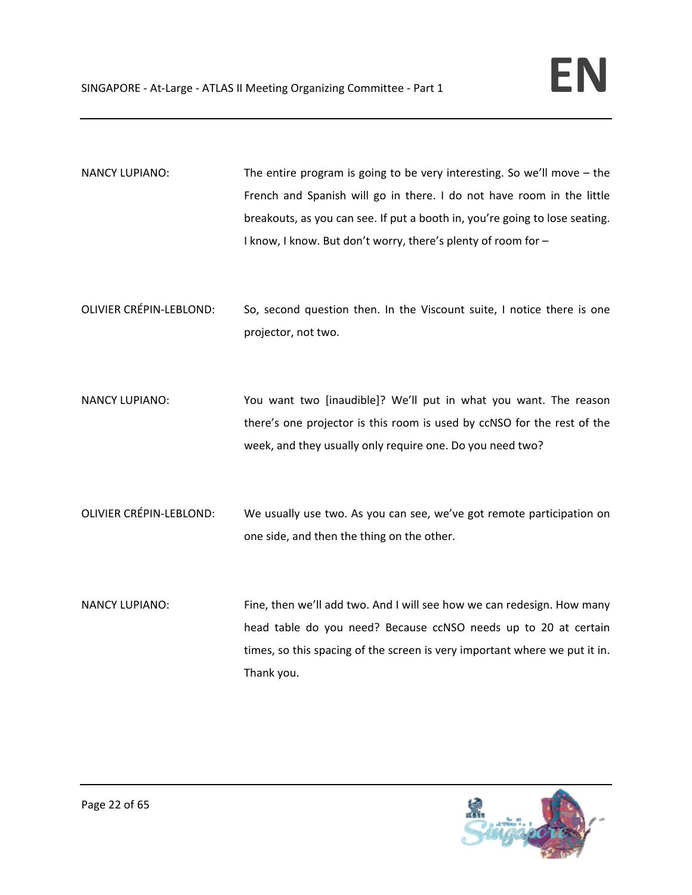- NANCY LUPIANO: The entire program is going to be very interesting. So we'll move the French and Spanish will go in there. I do not have room in the little breakouts, as you can see. If put a booth in, you're going to lose seating. I know, I know. But don't worry, there's plenty of room for –
- OLIVIER CRÉPIN‐LEBLOND: So, second question then. In the Viscount suite, I notice there is one projector, not two.
- NANCY LUPIANO: You want two [inaudible]? We'll put in what you want. The reason there's one projector is this room is used by ccNSO for the rest of the week, and they usually only require one. Do you need two?
- OLIVIER CRÉPIN‐LEBLOND: We usually use two. As you can see, we've got remote participation on one side, and then the thing on the other.
- NANCY LUPIANO: Fine, then we'll add two. And I will see how we can redesign. How many head table do you need? Because ccNSO needs up to 20 at certain times, so this spacing of the screen is very important where we put it in. Thank you.

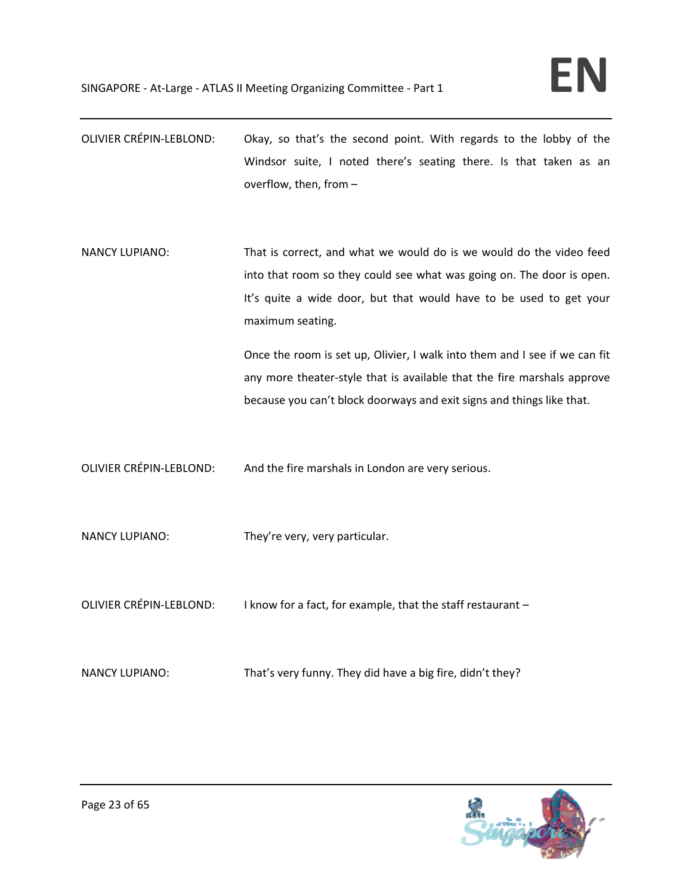- OLIVIER CRÉPIN‐LEBLOND: Okay, so that's the second point. With regards to the lobby of the Windsor suite, I noted there's seating there. Is that taken as an overflow, then, from –
- NANCY LUPIANO: That is correct, and what we would do is we would do the video feed into that room so they could see what was going on. The door is open. It's quite a wide door, but that would have to be used to get your maximum seating.

Once the room is set up, Olivier, I walk into them and I see if we can fit any more theater‐style that is available that the fire marshals approve because you can't block doorways and exit signs and things like that.

- OLIVIER CRÉPIN‐LEBLOND: And the fire marshals in London are very serious.
- NANCY LUPIANO: They're very, very particular.
- OLIVIER CRÉPIN-LEBLOND: I know for a fact, for example, that the staff restaurant –
- NANCY LUPIANO: That's very funny. They did have a big fire, didn't they?

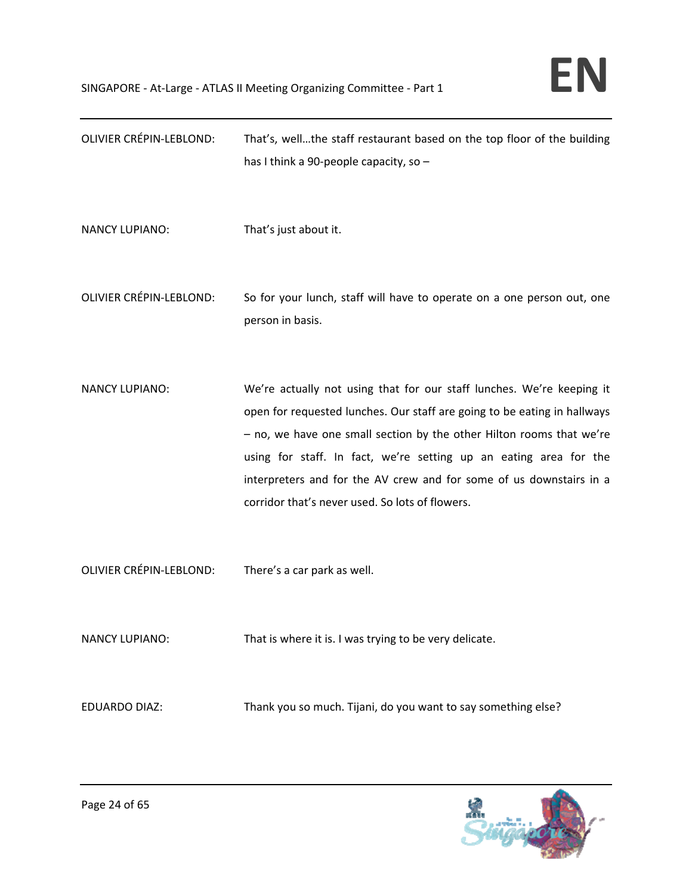| <b>OLIVIER CRÉPIN-LEBLOND:</b> | That's, wellthe staff restaurant based on the top floor of the building<br>has I think a 90-people capacity, so -                                                                                                                                                                                                                                                                                                        |
|--------------------------------|--------------------------------------------------------------------------------------------------------------------------------------------------------------------------------------------------------------------------------------------------------------------------------------------------------------------------------------------------------------------------------------------------------------------------|
| <b>NANCY LUPIANO:</b>          | That's just about it.                                                                                                                                                                                                                                                                                                                                                                                                    |
| <b>OLIVIER CRÉPIN-LEBLOND:</b> | So for your lunch, staff will have to operate on a one person out, one<br>person in basis.                                                                                                                                                                                                                                                                                                                               |
| <b>NANCY LUPIANO:</b>          | We're actually not using that for our staff lunches. We're keeping it<br>open for requested lunches. Our staff are going to be eating in hallways<br>- no, we have one small section by the other Hilton rooms that we're<br>using for staff. In fact, we're setting up an eating area for the<br>interpreters and for the AV crew and for some of us downstairs in a<br>corridor that's never used. So lots of flowers. |
| <b>OLIVIER CRÉPIN-LEBLOND:</b> | There's a car park as well.                                                                                                                                                                                                                                                                                                                                                                                              |
| NANCY LUPIANO:                 | That is where it is. I was trying to be very delicate.                                                                                                                                                                                                                                                                                                                                                                   |
| <b>EDUARDO DIAZ:</b>           | Thank you so much. Tijani, do you want to say something else?                                                                                                                                                                                                                                                                                                                                                            |

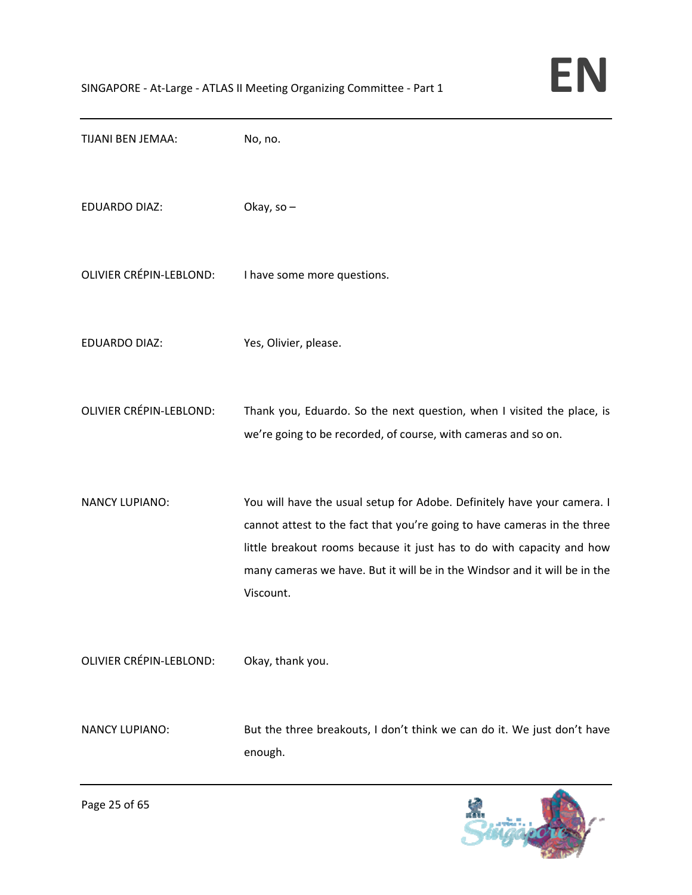| TIJANI BEN JEMAA:              | No, no.                                                                                                                                                                                                                                                                                                                |
|--------------------------------|------------------------------------------------------------------------------------------------------------------------------------------------------------------------------------------------------------------------------------------------------------------------------------------------------------------------|
| <b>EDUARDO DIAZ:</b>           | Okay, so -                                                                                                                                                                                                                                                                                                             |
| OLIVIER CRÉPIN-LEBLOND:        | I have some more questions.                                                                                                                                                                                                                                                                                            |
| <b>EDUARDO DIAZ:</b>           | Yes, Olivier, please.                                                                                                                                                                                                                                                                                                  |
| <b>OLIVIER CRÉPIN-LEBLOND:</b> | Thank you, Eduardo. So the next question, when I visited the place, is<br>we're going to be recorded, of course, with cameras and so on.                                                                                                                                                                               |
| <b>NANCY LUPIANO:</b>          | You will have the usual setup for Adobe. Definitely have your camera. I<br>cannot attest to the fact that you're going to have cameras in the three<br>little breakout rooms because it just has to do with capacity and how<br>many cameras we have. But it will be in the Windsor and it will be in the<br>Viscount. |
| <b>OLIVIER CRÉPIN-LEBLOND:</b> | Okay, thank you.                                                                                                                                                                                                                                                                                                       |
| <b>NANCY LUPIANO:</b>          | But the three breakouts, I don't think we can do it. We just don't have<br>enough.                                                                                                                                                                                                                                     |

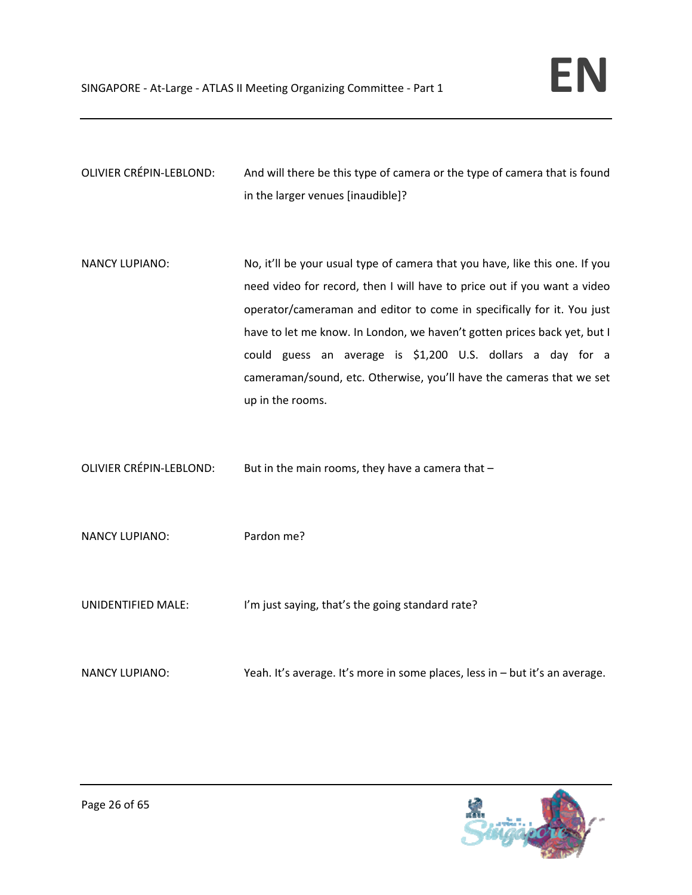OLIVIER CRÉPIN‐LEBLOND: And will there be this type of camera or the type of camera that is found in the larger venues [inaudible]?

- NANCY LUPIANO: No, it'll be your usual type of camera that you have, like this one. If you need video for record, then I will have to price out if you want a video operator/cameraman and editor to come in specifically for it. You just have to let me know. In London, we haven't gotten prices back yet, but I could guess an average is \$1,200 U.S. dollars a day for a cameraman/sound, etc. Otherwise, you'll have the cameras that we set up in the rooms.
- OLIVIER CRÉPIN-LEBLOND: But in the main rooms, they have a camera that –
- NANCY LUPIANO: Pardon me?
- UNIDENTIFIED MALE: I'm just saying, that's the going standard rate?
- NANCY LUPIANO: Yeah. It's average. It's more in some places, less in but it's an average.

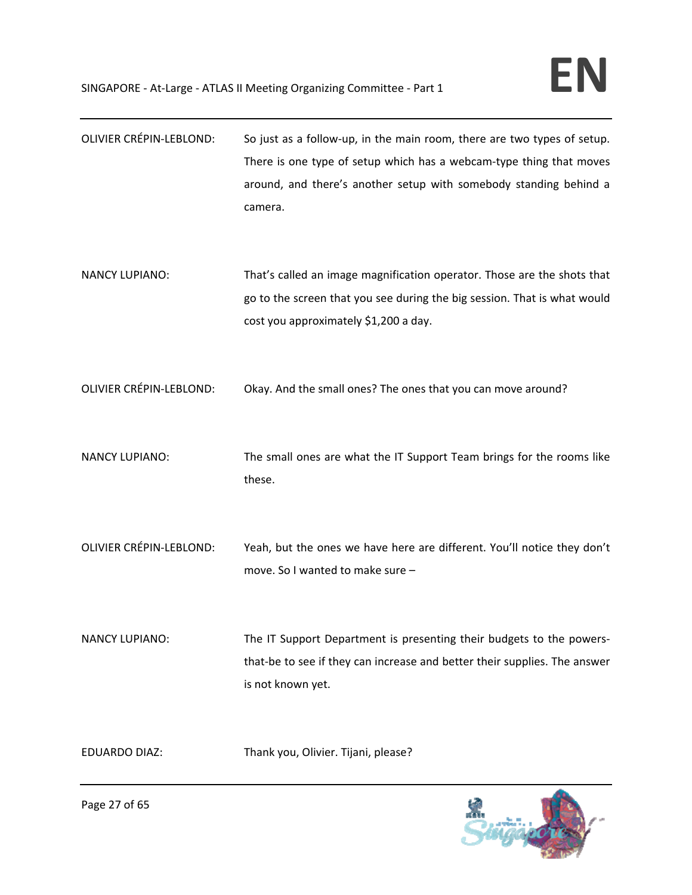| <b>OLIVIER CRÉPIN-LEBLOND:</b> | So just as a follow-up, in the main room, there are two types of setup.<br>There is one type of setup which has a webcam-type thing that moves<br>around, and there's another setup with somebody standing behind a<br>camera. |
|--------------------------------|--------------------------------------------------------------------------------------------------------------------------------------------------------------------------------------------------------------------------------|
| <b>NANCY LUPIANO:</b>          | That's called an image magnification operator. Those are the shots that<br>go to the screen that you see during the big session. That is what would<br>cost you approximately \$1,200 a day.                                   |
| OLIVIER CRÉPIN-LEBLOND:        | Okay. And the small ones? The ones that you can move around?                                                                                                                                                                   |
| <b>NANCY LUPIANO:</b>          | The small ones are what the IT Support Team brings for the rooms like<br>these.                                                                                                                                                |
| <b>OLIVIER CRÉPIN-LEBLOND:</b> | Yeah, but the ones we have here are different. You'll notice they don't<br>move. So I wanted to make sure -                                                                                                                    |
| <b>NANCY LUPIANO:</b>          | The IT Support Department is presenting their budgets to the powers-<br>that-be to see if they can increase and better their supplies. The answer<br>is not known yet.                                                         |
| <b>EDUARDO DIAZ:</b>           | Thank you, Olivier. Tijani, please?                                                                                                                                                                                            |

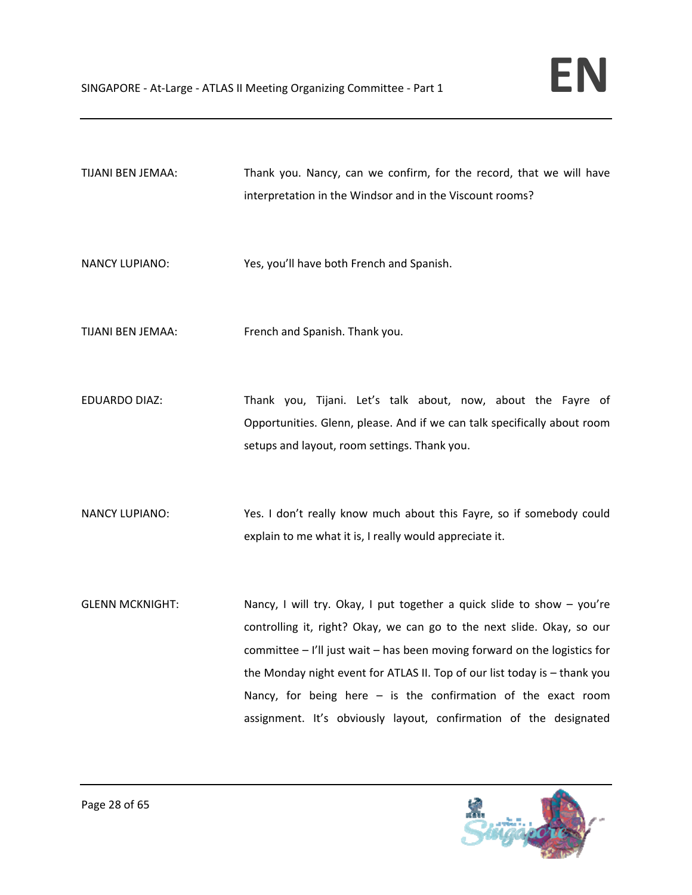TIJANI BEN JEMAA: Thank you. Nancy, can we confirm, for the record, that we will have interpretation in the Windsor and in the Viscount rooms?

NANCY LUPIANO: Yes, you'll have both French and Spanish.

TIJANI BEN JEMAA: French and Spanish. Thank you.

EDUARDO DIAZ: Thank you, Tijani. Let's talk about, now, about the Fayre of Opportunities. Glenn, please. And if we can talk specifically about room setups and layout, room settings. Thank you.

NANCY LUPIANO: Yes. I don't really know much about this Fayre, so if somebody could explain to me what it is, I really would appreciate it.

GLENN MCKNIGHT: Nancy, I will try. Okay, I put together a quick slide to show – you're controlling it, right? Okay, we can go to the next slide. Okay, so our committee – I'll just wait – has been moving forward on the logistics for the Monday night event for ATLAS II. Top of our list today is – thank you Nancy, for being here – is the confirmation of the exact room assignment. It's obviously layout, confirmation of the designated

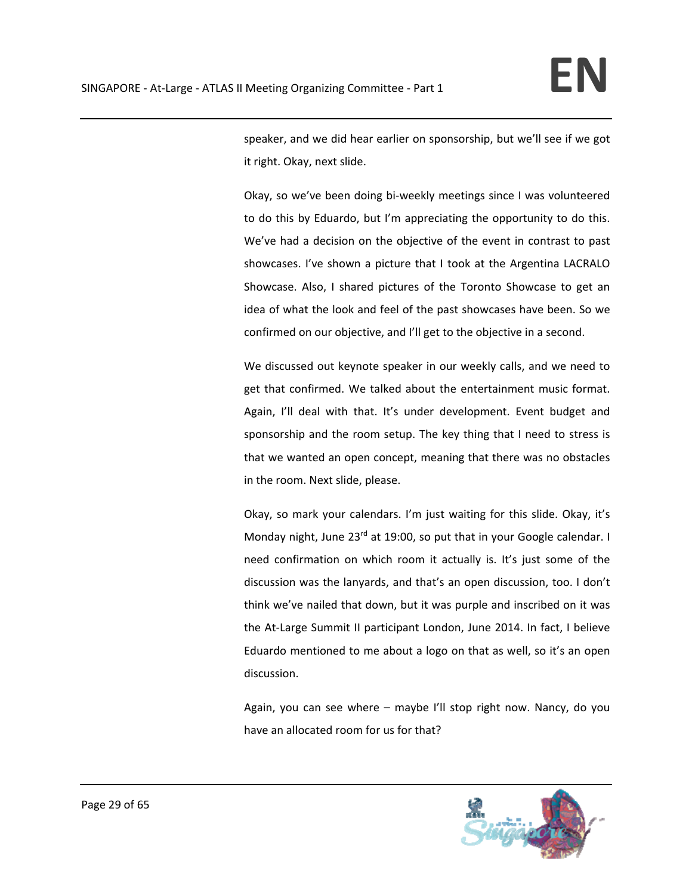speaker, and we did hear earlier on sponsorship, but we'll see if we got it right. Okay, next slide.

Okay, so we've been doing bi-weekly meetings since I was volunteered to do this by Eduardo, but I'm appreciating the opportunity to do this. We've had a decision on the objective of the event in contrast to past showcases. I've shown a picture that I took at the Argentina LACRALO Showcase. Also, I shared pictures of the Toronto Showcase to get an idea of what the look and feel of the past showcases have been. So we confirmed on our objective, and I'll get to the objective in a second.

We discussed out keynote speaker in our weekly calls, and we need to get that confirmed. We talked about the entertainment music format. Again, I'll deal with that. It's under development. Event budget and sponsorship and the room setup. The key thing that I need to stress is that we wanted an open concept, meaning that there was no obstacles in the room. Next slide, please.

Okay, so mark your calendars. I'm just waiting for this slide. Okay, it's Monday night, June  $23^{rd}$  at 19:00, so put that in your Google calendar. I need confirmation on which room it actually is. It's just some of the discussion was the lanyards, and that's an open discussion, too. I don't think we've nailed that down, but it was purple and inscribed on it was the At-Large Summit II participant London, June 2014. In fact, I believe Eduardo mentioned to me about a logo on that as well, so it's an open discussion.

Again, you can see where – maybe I'll stop right now. Nancy, do you have an allocated room for us for that?

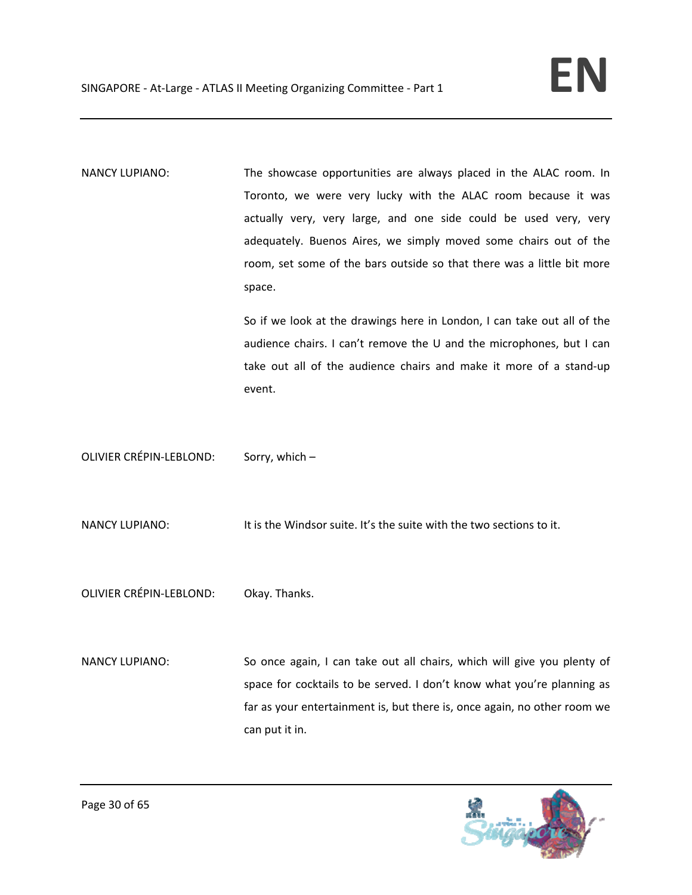NANCY LUPIANO: The showcase opportunities are always placed in the ALAC room. In Toronto, we were very lucky with the ALAC room because it was actually very, very large, and one side could be used very, very adequately. Buenos Aires, we simply moved some chairs out of the room, set some of the bars outside so that there was a little bit more space.

> So if we look at the drawings here in London, I can take out all of the audience chairs. I can't remove the U and the microphones, but I can take out all of the audience chairs and make it more of a stand‐up event.

OLIVIER CRÉPIN‐LEBLOND: Sorry, which –

NANCY LUPIANO: It is the Windsor suite. It's the suite with the two sections to it.

OLIVIER CRÉPIN‐LEBLOND: Okay. Thanks.

NANCY LUPIANO: So once again, I can take out all chairs, which will give you plenty of space for cocktails to be served. I don't know what you're planning as far as your entertainment is, but there is, once again, no other room we can put it in.

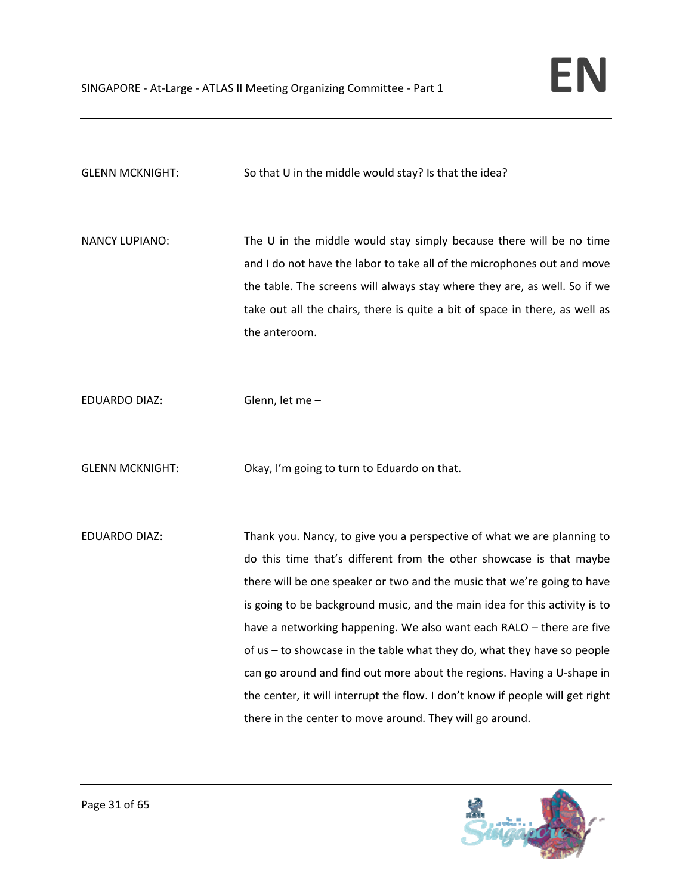GLENN MCKNIGHT: So that U in the middle would stay? Is that the idea?

NANCY LUPIANO: The U in the middle would stay simply because there will be no time and I do not have the labor to take all of the microphones out and move the table. The screens will always stay where they are, as well. So if we take out all the chairs, there is quite a bit of space in there, as well as the anteroom.

EDUARDO DIAZ: Glenn, let me –

GLENN MCKNIGHT: Okay, I'm going to turn to Eduardo on that.

EDUARDO DIAZ: Thank you. Nancy, to give you a perspective of what we are planning to do this time that's different from the other showcase is that maybe there will be one speaker or two and the music that we're going to have is going to be background music, and the main idea for this activity is to have a networking happening. We also want each RALO – there are five of us – to showcase in the table what they do, what they have so people can go around and find out more about the regions. Having a U‐shape in the center, it will interrupt the flow. I don't know if people will get right there in the center to move around. They will go around.

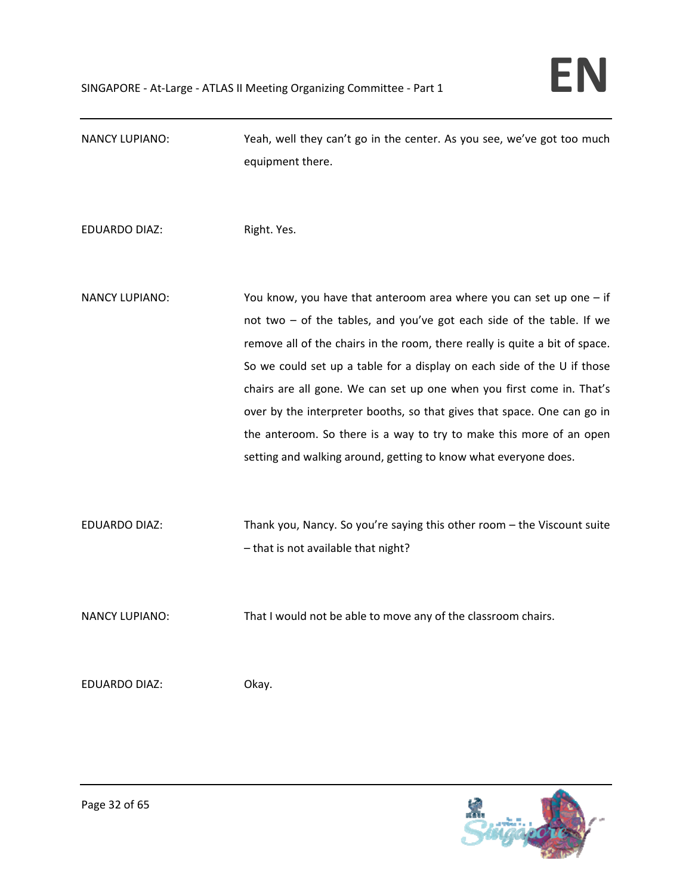| <b>NANCY LUPIANO:</b> | Yeah, well they can't go in the center. As you see, we've got too much<br>equipment there.                                                                                                                                                                                                                                                                                                                                                                                                                                                                                                             |
|-----------------------|--------------------------------------------------------------------------------------------------------------------------------------------------------------------------------------------------------------------------------------------------------------------------------------------------------------------------------------------------------------------------------------------------------------------------------------------------------------------------------------------------------------------------------------------------------------------------------------------------------|
| <b>EDUARDO DIAZ:</b>  | Right. Yes.                                                                                                                                                                                                                                                                                                                                                                                                                                                                                                                                                                                            |
| <b>NANCY LUPIANO:</b> | You know, you have that anteroom area where you can set up one $-$ if<br>not two - of the tables, and you've got each side of the table. If we<br>remove all of the chairs in the room, there really is quite a bit of space.<br>So we could set up a table for a display on each side of the U if those<br>chairs are all gone. We can set up one when you first come in. That's<br>over by the interpreter booths, so that gives that space. One can go in<br>the anteroom. So there is a way to try to make this more of an open<br>setting and walking around, getting to know what everyone does. |
| <b>EDUARDO DIAZ:</b>  | Thank you, Nancy. So you're saying this other room - the Viscount suite<br>- that is not available that night?                                                                                                                                                                                                                                                                                                                                                                                                                                                                                         |
| <b>NANCY LUPIANO:</b> | That I would not be able to move any of the classroom chairs.                                                                                                                                                                                                                                                                                                                                                                                                                                                                                                                                          |
| <b>EDUARDO DIAZ:</b>  | Okay.                                                                                                                                                                                                                                                                                                                                                                                                                                                                                                                                                                                                  |

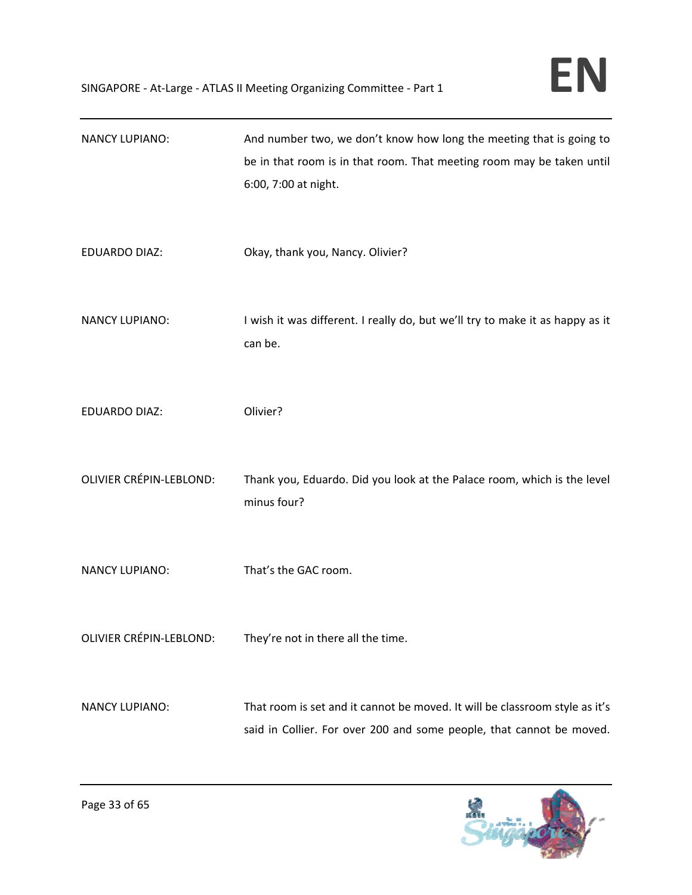| <b>NANCY LUPIANO:</b>          | And number two, we don't know how long the meeting that is going to<br>be in that room is in that room. That meeting room may be taken until<br>6:00, 7:00 at night. |
|--------------------------------|----------------------------------------------------------------------------------------------------------------------------------------------------------------------|
| <b>EDUARDO DIAZ:</b>           | Okay, thank you, Nancy. Olivier?                                                                                                                                     |
| <b>NANCY LUPIANO:</b>          | I wish it was different. I really do, but we'll try to make it as happy as it<br>can be.                                                                             |
| <b>EDUARDO DIAZ:</b>           | Olivier?                                                                                                                                                             |
| <b>OLIVIER CRÉPIN-LEBLOND:</b> | Thank you, Eduardo. Did you look at the Palace room, which is the level<br>minus four?                                                                               |
| <b>NANCY LUPIANO:</b>          | That's the GAC room.                                                                                                                                                 |
| OLIVIER CRÉPIN-LEBLOND:        | They're not in there all the time.                                                                                                                                   |
| <b>NANCY LUPIANO:</b>          | That room is set and it cannot be moved. It will be classroom style as it's<br>said in Collier. For over 200 and some people, that cannot be moved.                  |

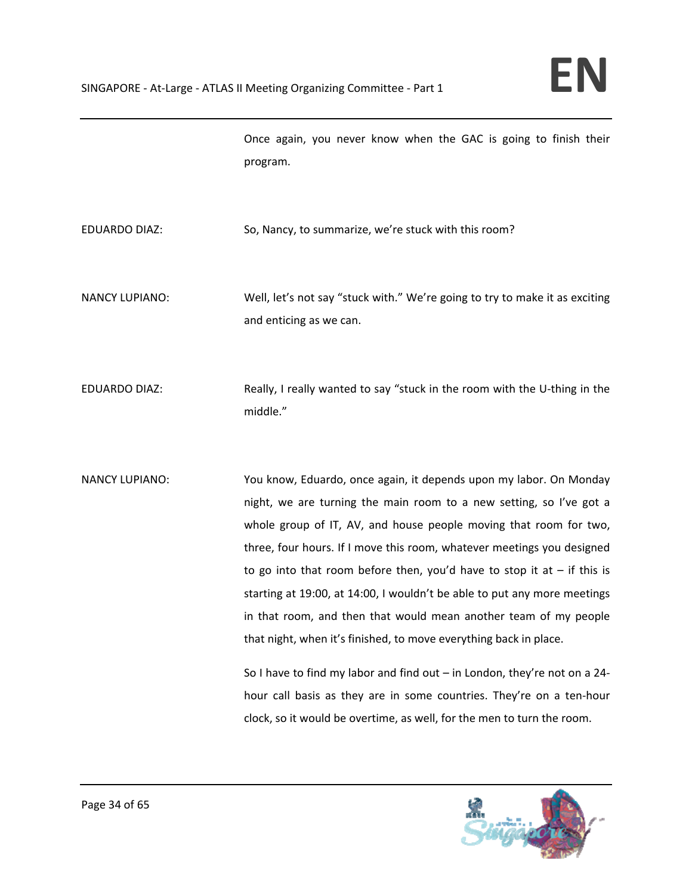Once again, you never know when the GAC is going to finish their program.

EDUARDO DIAZ: So, Nancy, to summarize, we're stuck with this room?

NANCY LUPIANO: Well, let's not say "stuck with." We're going to try to make it as exciting and enticing as we can.

EDUARDO DIAZ: Really, I really wanted to say "stuck in the room with the U-thing in the middle."

NANCY LUPIANO: You know, Eduardo, once again, it depends upon my labor. On Monday night, we are turning the main room to a new setting, so I've got a whole group of IT, AV, and house people moving that room for two, three, four hours. If I move this room, whatever meetings you designed to go into that room before then, you'd have to stop it at  $-$  if this is starting at 19:00, at 14:00, I wouldn't be able to put any more meetings in that room, and then that would mean another team of my people that night, when it's finished, to move everything back in place.

> So I have to find my labor and find out – in London, they're not on a 24‐ hour call basis as they are in some countries. They're on a ten‐hour clock, so it would be overtime, as well, for the men to turn the room.

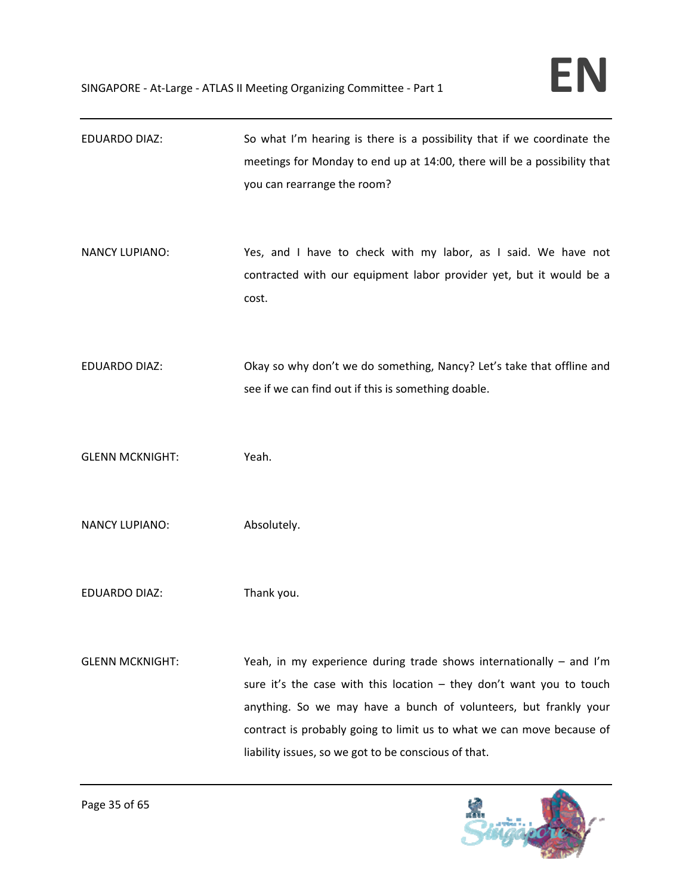| <b>EDUARDO DIAZ:</b>   | So what I'm hearing is there is a possibility that if we coordinate the<br>meetings for Monday to end up at 14:00, there will be a possibility that<br>you can rearrange the room?                                                                                                                                                                 |
|------------------------|----------------------------------------------------------------------------------------------------------------------------------------------------------------------------------------------------------------------------------------------------------------------------------------------------------------------------------------------------|
| <b>NANCY LUPIANO:</b>  | Yes, and I have to check with my labor, as I said. We have not<br>contracted with our equipment labor provider yet, but it would be a<br>cost.                                                                                                                                                                                                     |
| <b>EDUARDO DIAZ:</b>   | Okay so why don't we do something, Nancy? Let's take that offline and<br>see if we can find out if this is something doable.                                                                                                                                                                                                                       |
| <b>GLENN MCKNIGHT:</b> | Yeah.                                                                                                                                                                                                                                                                                                                                              |
| <b>NANCY LUPIANO:</b>  | Absolutely.                                                                                                                                                                                                                                                                                                                                        |
| <b>EDUARDO DIAZ:</b>   | Thank you.                                                                                                                                                                                                                                                                                                                                         |
| <b>GLENN MCKNIGHT:</b> | Yeah, in my experience during trade shows internationally – and I'm<br>sure it's the case with this location $-$ they don't want you to touch<br>anything. So we may have a bunch of volunteers, but frankly your<br>contract is probably going to limit us to what we can move because of<br>liability issues, so we got to be conscious of that. |

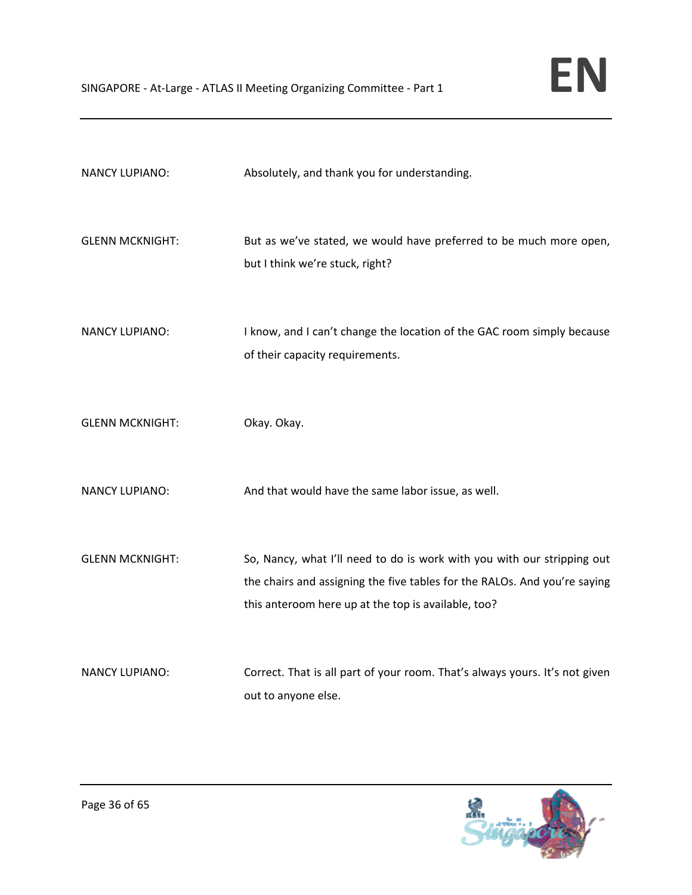| <b>NANCY LUPIANO:</b>  | Absolutely, and thank you for understanding.                                                                                                                                                                |
|------------------------|-------------------------------------------------------------------------------------------------------------------------------------------------------------------------------------------------------------|
| <b>GLENN MCKNIGHT:</b> | But as we've stated, we would have preferred to be much more open,<br>but I think we're stuck, right?                                                                                                       |
| <b>NANCY LUPIANO:</b>  | I know, and I can't change the location of the GAC room simply because<br>of their capacity requirements.                                                                                                   |
| <b>GLENN MCKNIGHT:</b> | Okay. Okay.                                                                                                                                                                                                 |
| <b>NANCY LUPIANO:</b>  | And that would have the same labor issue, as well.                                                                                                                                                          |
| <b>GLENN MCKNIGHT:</b> | So, Nancy, what I'll need to do is work with you with our stripping out<br>the chairs and assigning the five tables for the RALOs. And you're saying<br>this anteroom here up at the top is available, too? |
| <b>NANCY LUPIANO:</b>  | Correct. That is all part of your room. That's always yours. It's not given<br>out to anyone else.                                                                                                          |

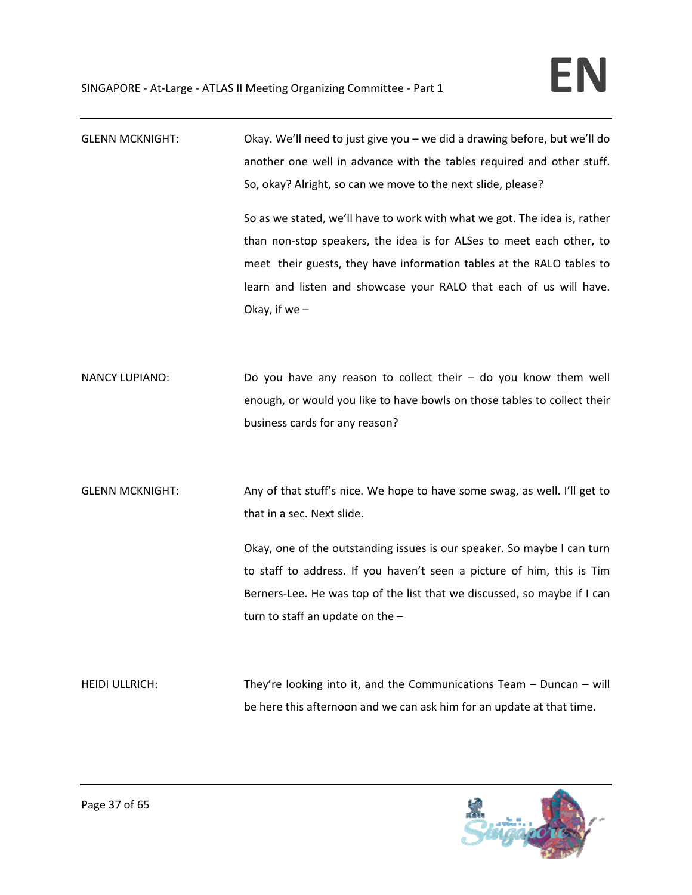| <b>GLENN MCKNIGHT:</b> | Okay. We'll need to just give you - we did a drawing before, but we'll do<br>another one well in advance with the tables required and other stuff.<br>So, okay? Alright, so can we move to the next slide, please?<br>So as we stated, we'll have to work with what we got. The idea is, rather<br>than non-stop speakers, the idea is for ALSes to meet each other, to<br>meet their guests, they have information tables at the RALO tables to<br>learn and listen and showcase your RALO that each of us will have. |
|------------------------|------------------------------------------------------------------------------------------------------------------------------------------------------------------------------------------------------------------------------------------------------------------------------------------------------------------------------------------------------------------------------------------------------------------------------------------------------------------------------------------------------------------------|
|                        | Okay, if we $-$                                                                                                                                                                                                                                                                                                                                                                                                                                                                                                        |
| <b>NANCY LUPIANO:</b>  | Do you have any reason to collect their $-$ do you know them well<br>enough, or would you like to have bowls on those tables to collect their<br>business cards for any reason?                                                                                                                                                                                                                                                                                                                                        |
| <b>GLENN MCKNIGHT:</b> | Any of that stuff's nice. We hope to have some swag, as well. I'll get to<br>that in a sec. Next slide.<br>Okay, one of the outstanding issues is our speaker. So maybe I can turn<br>to staff to address. If you haven't seen a picture of him, this is Tim<br>Berners-Lee. He was top of the list that we discussed, so maybe if I can<br>turn to staff an update on the $-$                                                                                                                                         |
| <b>HEIDI ULLRICH:</b>  | They're looking into it, and the Communications Team $-$ Duncan $-$ will<br>be here this afternoon and we can ask him for an update at that time.                                                                                                                                                                                                                                                                                                                                                                      |

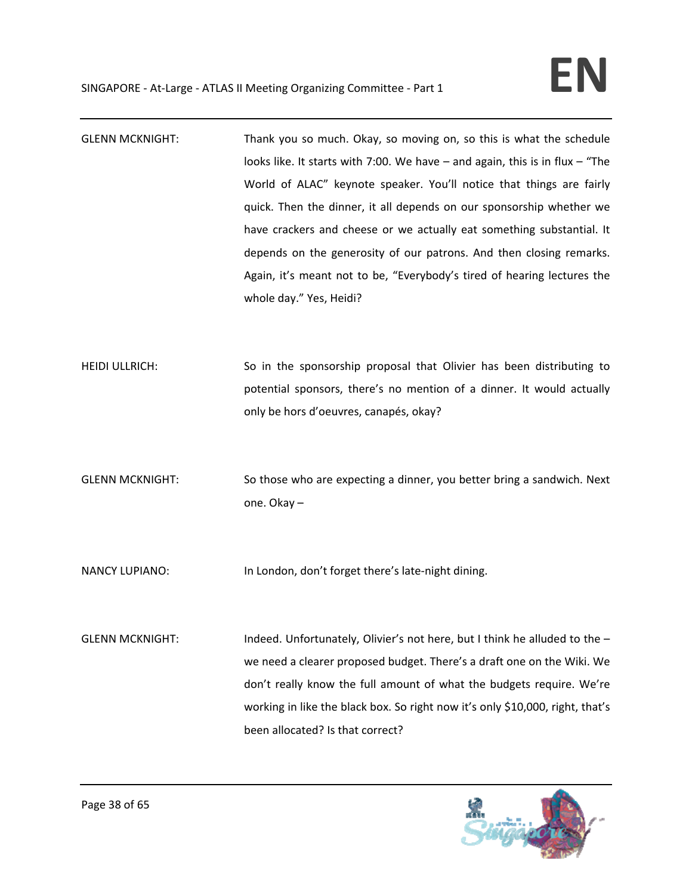- GLENN MCKNIGHT: Thank you so much. Okay, so moving on, so this is what the schedule looks like. It starts with 7:00. We have – and again, this is in flux – "The World of ALAC" keynote speaker. You'll notice that things are fairly quick. Then the dinner, it all depends on our sponsorship whether we have crackers and cheese or we actually eat something substantial. It depends on the generosity of our patrons. And then closing remarks. Again, it's meant not to be, "Everybody's tired of hearing lectures the whole day." Yes, Heidi?
- HEIDI ULLRICH: So in the sponsorship proposal that Olivier has been distributing to potential sponsors, there's no mention of a dinner. It would actually only be hors d'oeuvres, canapés, okay?
- GLENN MCKNIGHT: So those who are expecting a dinner, you better bring a sandwich. Next one. Okay –

NANCY LUPIANO: In London, don't forget there's late-night dining.

GLENN MCKNIGHT: Indeed. Unfortunately, Olivier's not here, but I think he alluded to the – we need a clearer proposed budget. There's a draft one on the Wiki. We don't really know the full amount of what the budgets require. We're working in like the black box. So right now it's only \$10,000, right, that's been allocated? Is that correct?

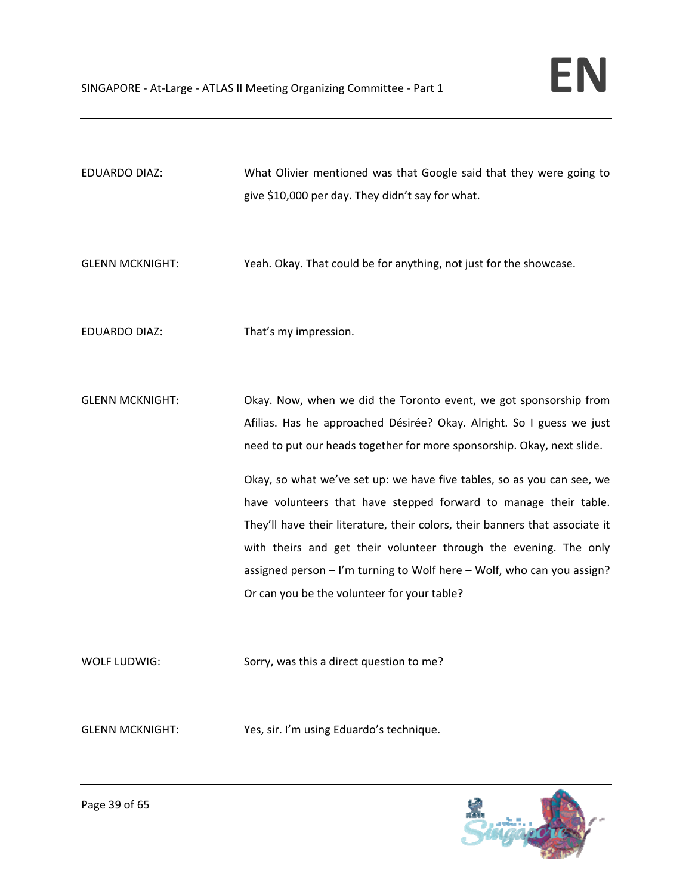| EDUARDO DIAZ: | What Olivier mentioned was that Google said that they were going to |
|---------------|---------------------------------------------------------------------|
|               | give \$10,000 per day. They didn't say for what.                    |

GLENN MCKNIGHT: Yeah. Okay. That could be for anything, not just for the showcase.

EDUARDO DIAZ: That's my impression.

GLENN MCKNIGHT: Okay. Now, when we did the Toronto event, we got sponsorship from Afilias. Has he approached Désirée? Okay. Alright. So I guess we just need to put our heads together for more sponsorship. Okay, next slide.

> Okay, so what we've set up: we have five tables, so as you can see, we have volunteers that have stepped forward to manage their table. They'll have their literature, their colors, their banners that associate it with theirs and get their volunteer through the evening. The only assigned person – I'm turning to Wolf here – Wolf, who can you assign? Or can you be the volunteer for your table?

WOLF LUDWIG: Sorry, was this a direct question to me?

GLENN MCKNIGHT: Yes, sir. I'm using Eduardo's technique.

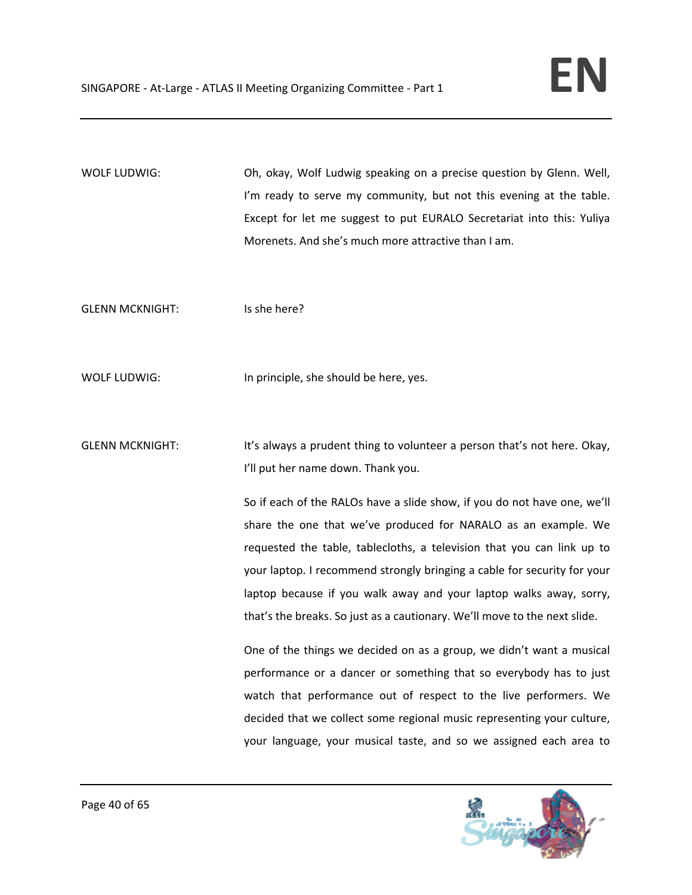WOLF LUDWIG: Oh, okay, Wolf Ludwig speaking on a precise question by Glenn. Well, I'm ready to serve my community, but not this evening at the table. Except for let me suggest to put EURALO Secretariat into this: Yuliya Morenets. And she's much more attractive than I am.

GLENN MCKNIGHT: Is she here?

WOLF LUDWIG: In principle, she should be here, yes.

GLENN MCKNIGHT: It's always a prudent thing to volunteer a person that's not here. Okay, I'll put her name down. Thank you.

> So if each of the RALOs have a slide show, if you do not have one, we'll share the one that we've produced for NARALO as an example. We requested the table, tablecloths, a television that you can link up to your laptop. I recommend strongly bringing a cable for security for your laptop because if you walk away and your laptop walks away, sorry, that's the breaks. So just as a cautionary. We'll move to the next slide.

> One of the things we decided on as a group, we didn't want a musical performance or a dancer or something that so everybody has to just watch that performance out of respect to the live performers. We decided that we collect some regional music representing your culture, your language, your musical taste, and so we assigned each area to

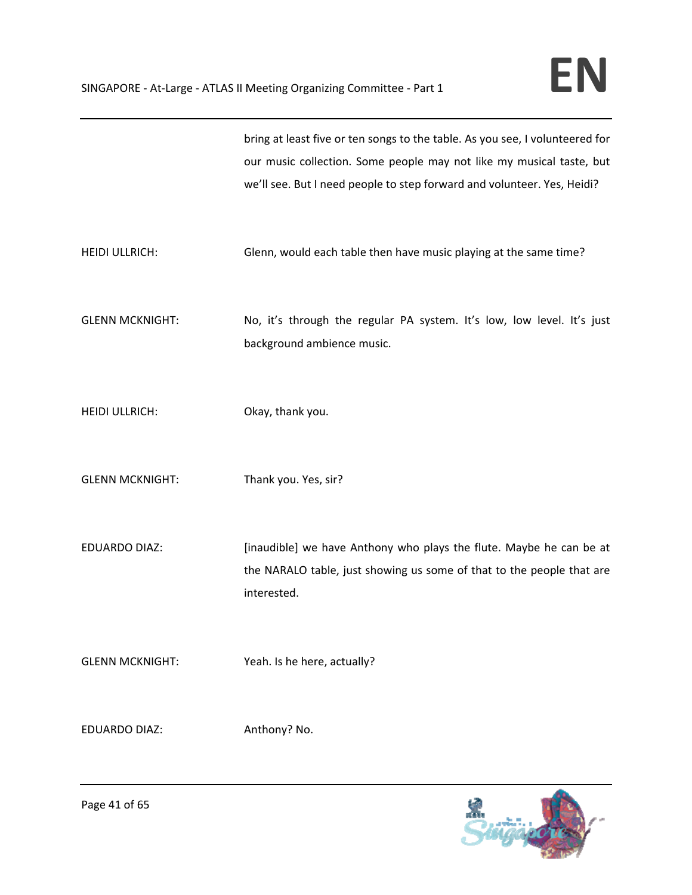|                        | bring at least five or ten songs to the table. As you see, I volunteered for<br>our music collection. Some people may not like my musical taste, but<br>we'll see. But I need people to step forward and volunteer. Yes, Heidi? |
|------------------------|---------------------------------------------------------------------------------------------------------------------------------------------------------------------------------------------------------------------------------|
| <b>HEIDI ULLRICH:</b>  | Glenn, would each table then have music playing at the same time?                                                                                                                                                               |
| <b>GLENN MCKNIGHT:</b> | No, it's through the regular PA system. It's low, low level. It's just<br>background ambience music.                                                                                                                            |
| <b>HEIDI ULLRICH:</b>  | Okay, thank you.                                                                                                                                                                                                                |
| <b>GLENN MCKNIGHT:</b> | Thank you. Yes, sir?                                                                                                                                                                                                            |
| <b>EDUARDO DIAZ:</b>   | [inaudible] we have Anthony who plays the flute. Maybe he can be at<br>the NARALO table, just showing us some of that to the people that are<br>interested.                                                                     |
| <b>GLENN MCKNIGHT:</b> | Yeah. Is he here, actually?                                                                                                                                                                                                     |
| <b>EDUARDO DIAZ:</b>   | Anthony? No.                                                                                                                                                                                                                    |

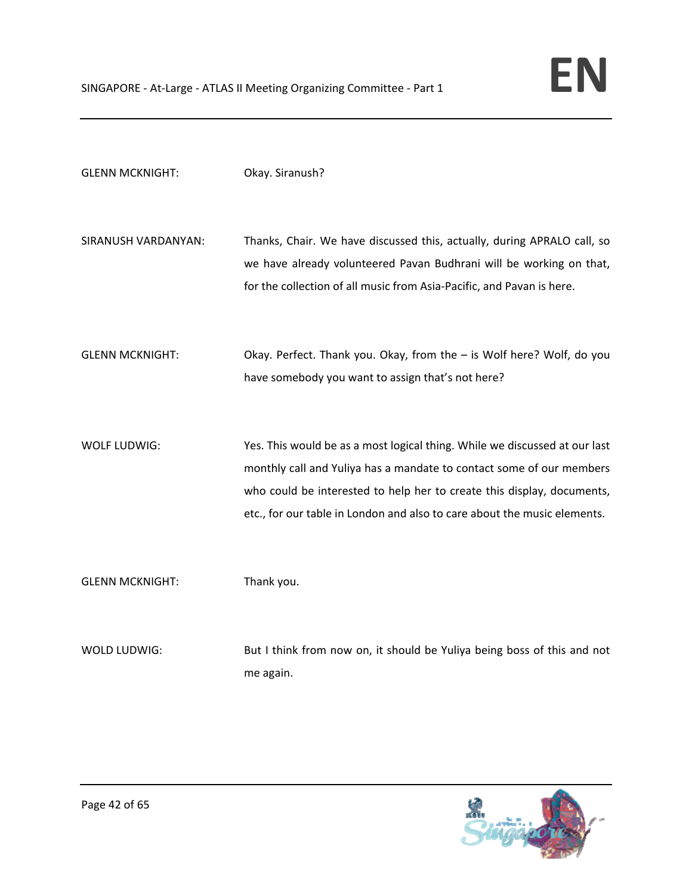| <b>GLENN MCKNIGHT:</b> | Okay. Siranush?                                                                                                                                                                                                                                                                                          |
|------------------------|----------------------------------------------------------------------------------------------------------------------------------------------------------------------------------------------------------------------------------------------------------------------------------------------------------|
| SIRANUSH VARDANYAN:    | Thanks, Chair. We have discussed this, actually, during APRALO call, so<br>we have already volunteered Pavan Budhrani will be working on that,<br>for the collection of all music from Asia-Pacific, and Pavan is here.                                                                                  |
| <b>GLENN MCKNIGHT:</b> | Okay. Perfect. Thank you. Okay, from the - is Wolf here? Wolf, do you<br>have somebody you want to assign that's not here?                                                                                                                                                                               |
| <b>WOLF LUDWIG:</b>    | Yes. This would be as a most logical thing. While we discussed at our last<br>monthly call and Yuliya has a mandate to contact some of our members<br>who could be interested to help her to create this display, documents,<br>etc., for our table in London and also to care about the music elements. |
| <b>GLENN MCKNIGHT:</b> | Thank you.                                                                                                                                                                                                                                                                                               |
| WOLD LUDWIG:           | But I think from now on, it should be Yuliya being boss of this and not<br>me again.                                                                                                                                                                                                                     |

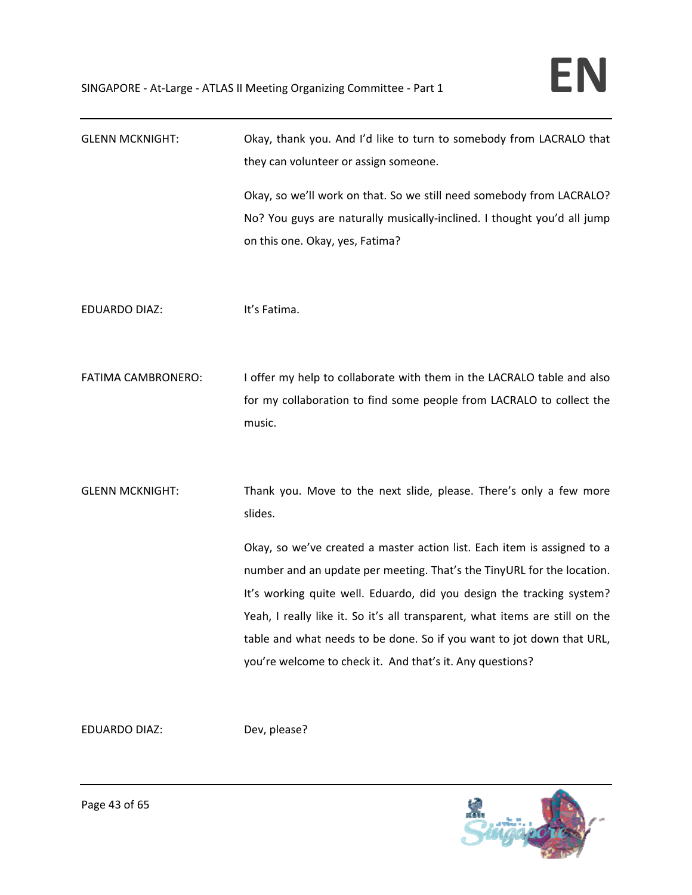| <b>GLENN MCKNIGHT:</b>    | Okay, thank you. And I'd like to turn to somebody from LACRALO that<br>they can volunteer or assign someone. |
|---------------------------|--------------------------------------------------------------------------------------------------------------|
|                           | Okay, so we'll work on that. So we still need somebody from LACRALO?                                         |
|                           | No? You guys are naturally musically-inclined. I thought you'd all jump                                      |
|                           | on this one. Okay, yes, Fatima?                                                                              |
|                           |                                                                                                              |
| <b>EDUARDO DIAZ:</b>      | It's Fatima.                                                                                                 |
|                           |                                                                                                              |
| <b>FATIMA CAMBRONERO:</b> | I offer my help to collaborate with them in the LACRALO table and also                                       |
|                           | for my collaboration to find some people from LACRALO to collect the                                         |
|                           | music.                                                                                                       |
|                           |                                                                                                              |
| <b>GLENN MCKNIGHT:</b>    | Thank you. Move to the next slide, please. There's only a few more<br>slides.                                |
|                           | Okay, so we've created a master action list. Each item is assigned to a                                      |
|                           | number and an update per meeting. That's the TinyURL for the location.                                       |
|                           | It's working quite well. Eduardo, did you design the tracking system?                                        |
|                           | Yeah, I really like it. So it's all transparent, what items are still on the                                 |
|                           | table and what needs to be done. So if you want to jot down that URL,                                        |
|                           | you're welcome to check it. And that's it. Any questions?                                                    |
|                           |                                                                                                              |
|                           |                                                                                                              |

EDUARDO DIAZ: Dev, please?

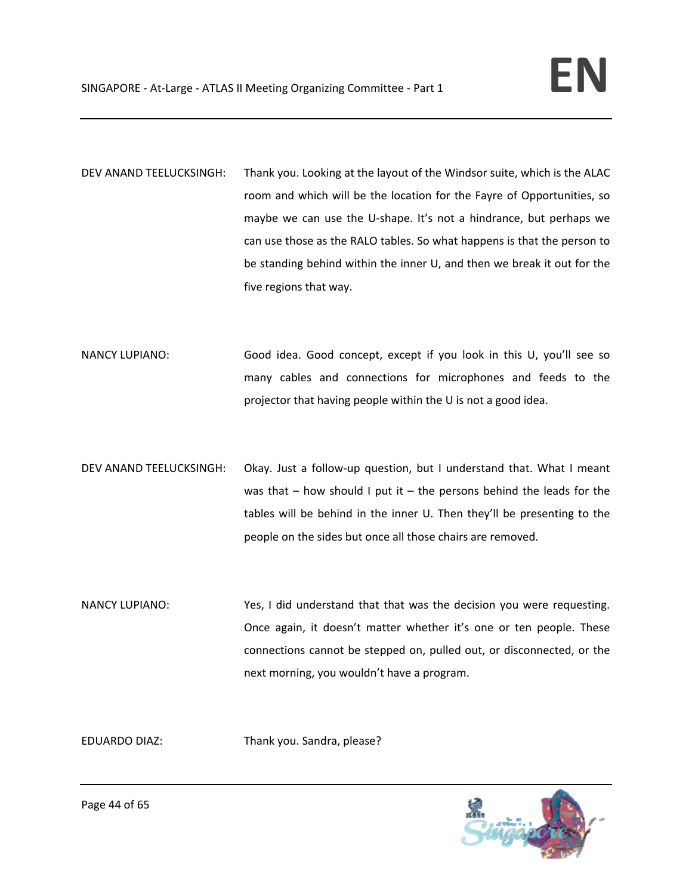- DEV ANAND TEELUCKSINGH: Thank you. Looking at the layout of the Windsor suite, which is the ALAC room and which will be the location for the Fayre of Opportunities, so maybe we can use the U-shape. It's not a hindrance, but perhaps we can use those as the RALO tables. So what happens is that the person to be standing behind within the inner U, and then we break it out for the five regions that way.
- NANCY LUPIANO: Good idea. Good concept, except if you look in this U, you'll see so many cables and connections for microphones and feeds to the projector that having people within the U is not a good idea.
- DEV ANAND TEELUCKSINGH: Okay. Just a follow-up question, but I understand that. What I meant was that  $-$  how should I put it  $-$  the persons behind the leads for the tables will be behind in the inner U. Then they'll be presenting to the people on the sides but once all those chairs are removed.
- NANCY LUPIANO: Yes, I did understand that that was the decision you were requesting. Once again, it doesn't matter whether it's one or ten people. These connections cannot be stepped on, pulled out, or disconnected, or the next morning, you wouldn't have a program.

EDUARDO DIAZ: Thank you. Sandra, please?

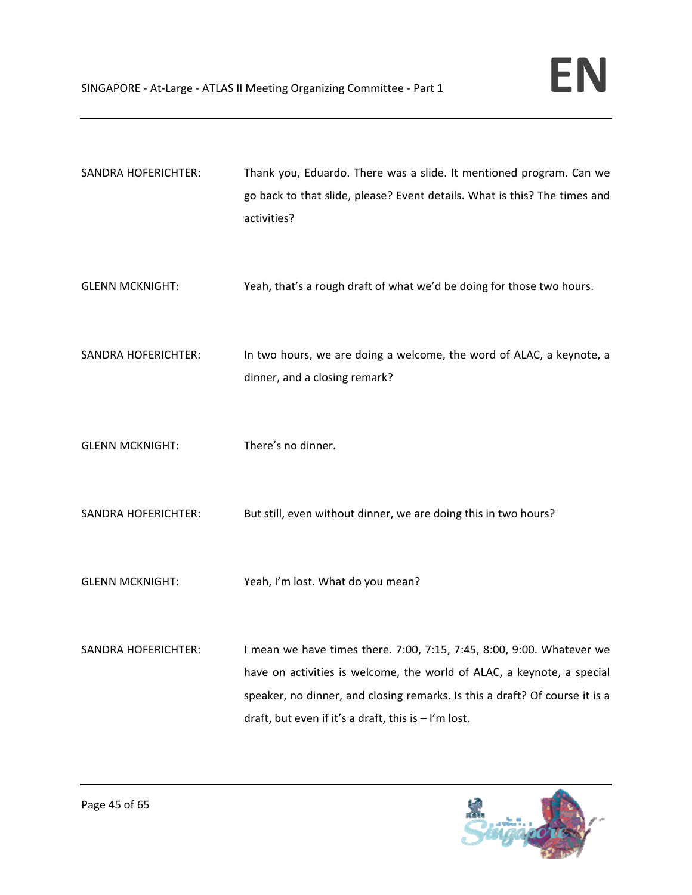| <b>SANDRA HOFERICHTER:</b> | Thank you, Eduardo. There was a slide. It mentioned program. Can we<br>go back to that slide, please? Event details. What is this? The times and<br>activities?                                                                                                                         |
|----------------------------|-----------------------------------------------------------------------------------------------------------------------------------------------------------------------------------------------------------------------------------------------------------------------------------------|
| <b>GLENN MCKNIGHT:</b>     | Yeah, that's a rough draft of what we'd be doing for those two hours.                                                                                                                                                                                                                   |
| <b>SANDRA HOFERICHTER:</b> | In two hours, we are doing a welcome, the word of ALAC, a keynote, a<br>dinner, and a closing remark?                                                                                                                                                                                   |
| <b>GLENN MCKNIGHT:</b>     | There's no dinner.                                                                                                                                                                                                                                                                      |
| <b>SANDRA HOFERICHTER:</b> | But still, even without dinner, we are doing this in two hours?                                                                                                                                                                                                                         |
| <b>GLENN MCKNIGHT:</b>     | Yeah, I'm lost. What do you mean?                                                                                                                                                                                                                                                       |
| <b>SANDRA HOFERICHTER:</b> | I mean we have times there. 7:00, 7:15, 7:45, 8:00, 9:00. Whatever we<br>have on activities is welcome, the world of ALAC, a keynote, a special<br>speaker, no dinner, and closing remarks. Is this a draft? Of course it is a<br>draft, but even if it's a draft, this is $-1'm$ lost. |

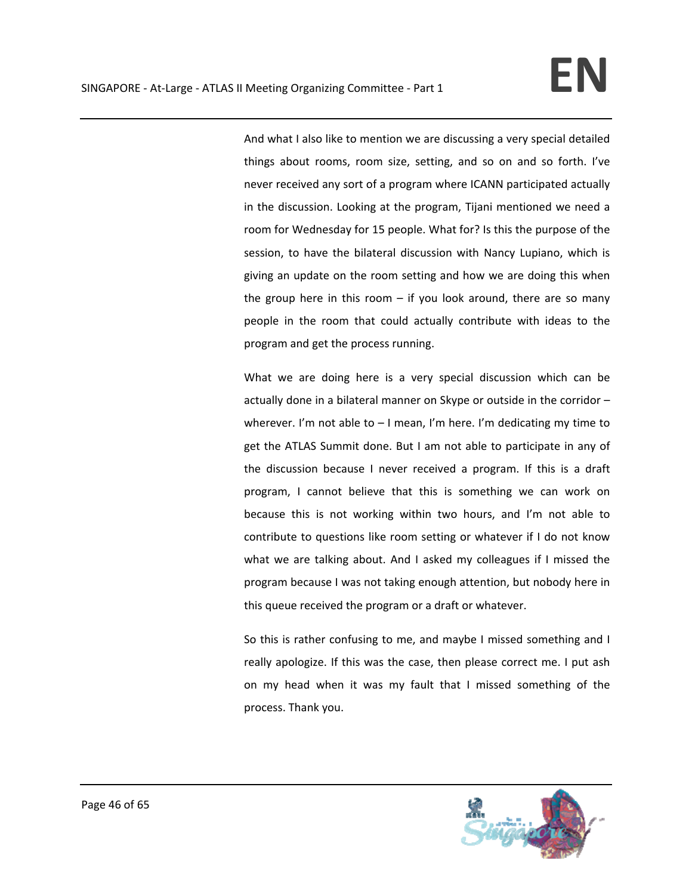And what I also like to mention we are discussing a very special detailed things about rooms, room size, setting, and so on and so forth. I've never received any sort of a program where ICANN participated actually in the discussion. Looking at the program, Tijani mentioned we need a room for Wednesday for 15 people. What for? Is this the purpose of the session, to have the bilateral discussion with Nancy Lupiano, which is giving an update on the room setting and how we are doing this when the group here in this room  $-$  if you look around, there are so many people in the room that could actually contribute with ideas to the program and get the process running.

What we are doing here is a very special discussion which can be actually done in a bilateral manner on Skype or outside in the corridor – wherever. I'm not able to  $-1$  mean, I'm here. I'm dedicating my time to get the ATLAS Summit done. But I am not able to participate in any of the discussion because I never received a program. If this is a draft program, I cannot believe that this is something we can work on because this is not working within two hours, and I'm not able to contribute to questions like room setting or whatever if I do not know what we are talking about. And I asked my colleagues if I missed the program because I was not taking enough attention, but nobody here in this queue received the program or a draft or whatever.

So this is rather confusing to me, and maybe I missed something and I really apologize. If this was the case, then please correct me. I put ash on my head when it was my fault that I missed something of the process. Thank you.

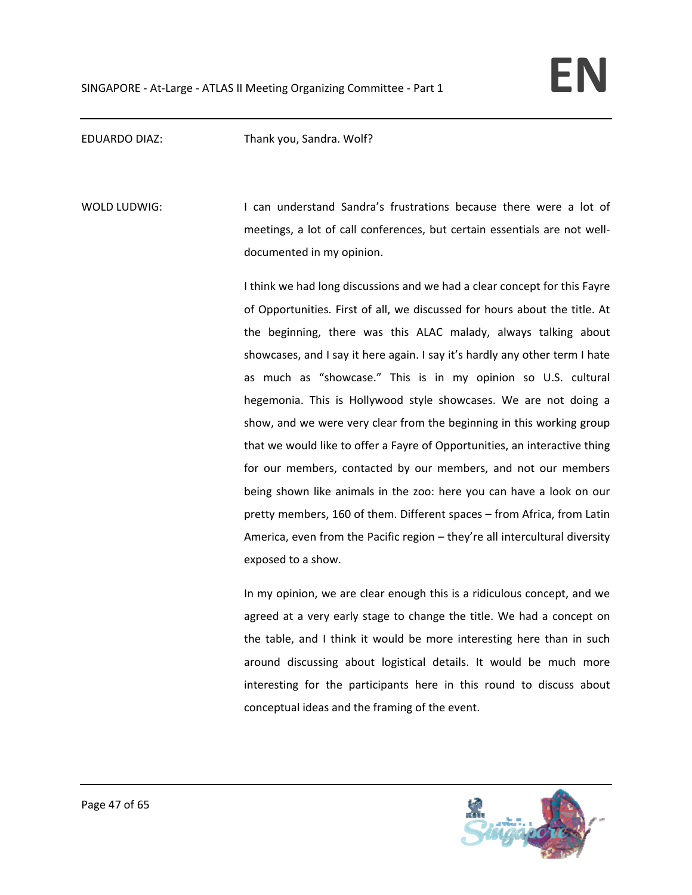EDUARDO DIAZ: Thank you, Sandra. Wolf?

WOLD LUDWIG: I can understand Sandra's frustrations because there were a lot of meetings, a lot of call conferences, but certain essentials are not well‐ documented in my opinion.

> I think we had long discussions and we had a clear concept for this Fayre of Opportunities. First of all, we discussed for hours about the title. At the beginning, there was this ALAC malady, always talking about showcases, and I say it here again. I say it's hardly any other term I hate as much as "showcase." This is in my opinion so U.S. cultural hegemonia. This is Hollywood style showcases. We are not doing a show, and we were very clear from the beginning in this working group that we would like to offer a Fayre of Opportunities, an interactive thing for our members, contacted by our members, and not our members being shown like animals in the zoo: here you can have a look on our pretty members, 160 of them. Different spaces – from Africa, from Latin America, even from the Pacific region – they're all intercultural diversity exposed to a show.

> In my opinion, we are clear enough this is a ridiculous concept, and we agreed at a very early stage to change the title. We had a concept on the table, and I think it would be more interesting here than in such around discussing about logistical details. It would be much more interesting for the participants here in this round to discuss about conceptual ideas and the framing of the event.

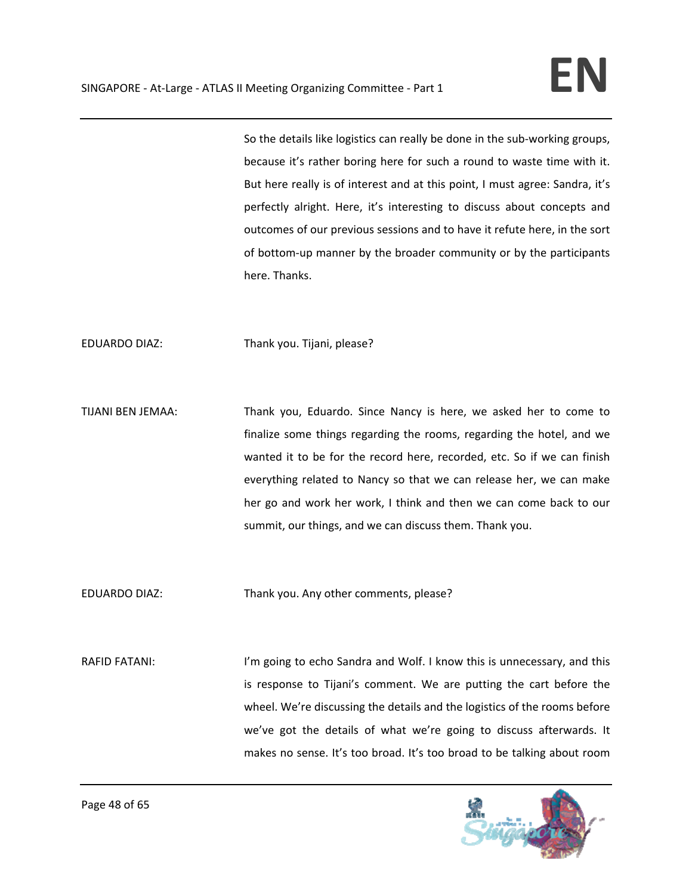So the details like logistics can really be done in the sub‐working groups, because it's rather boring here for such a round to waste time with it. But here really is of interest and at this point, I must agree: Sandra, it's perfectly alright. Here, it's interesting to discuss about concepts and outcomes of our previous sessions and to have it refute here, in the sort of bottom‐up manner by the broader community or by the participants here. Thanks.

EDUARDO DIAZ: Thank you. Tijani, please?

TIJANI BEN JEMAA: Thank you, Eduardo. Since Nancy is here, we asked her to come to finalize some things regarding the rooms, regarding the hotel, and we wanted it to be for the record here, recorded, etc. So if we can finish everything related to Nancy so that we can release her, we can make her go and work her work, I think and then we can come back to our summit, our things, and we can discuss them. Thank you.

EDUARDO DIAZ: Thank you. Any other comments, please?

RAFID FATANI: I'm going to echo Sandra and Wolf. I know this is unnecessary, and this is response to Tijani's comment. We are putting the cart before the wheel. We're discussing the details and the logistics of the rooms before we've got the details of what we're going to discuss afterwards. It makes no sense. It's too broad. It's too broad to be talking about room

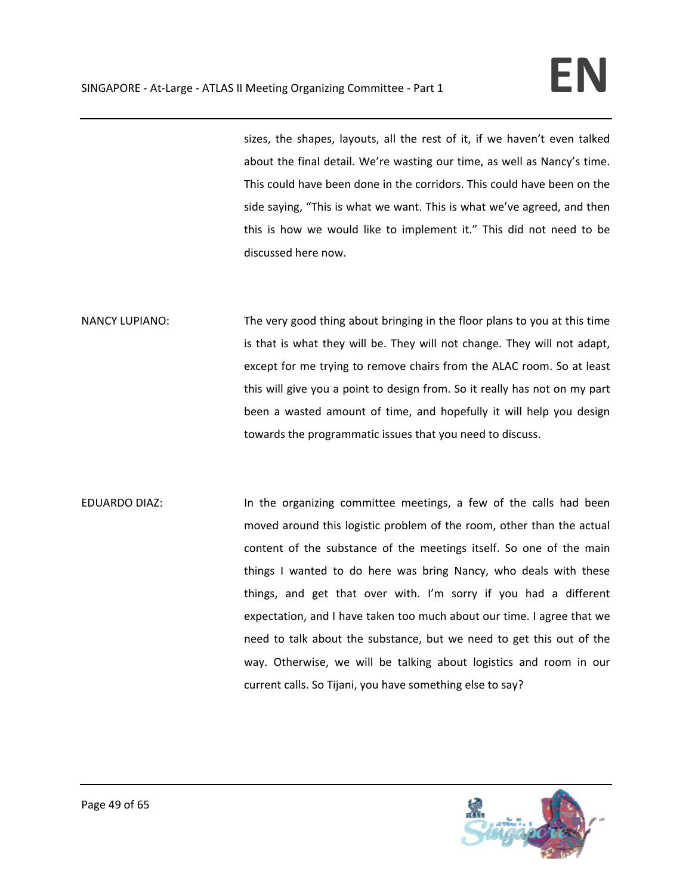sizes, the shapes, layouts, all the rest of it, if we haven't even talked about the final detail. We're wasting our time, as well as Nancy's time. This could have been done in the corridors. This could have been on the side saying, "This is what we want. This is what we've agreed, and then this is how we would like to implement it." This did not need to be discussed here now.

NANCY LUPIANO: The very good thing about bringing in the floor plans to you at this time is that is what they will be. They will not change. They will not adapt, except for me trying to remove chairs from the ALAC room. So at least this will give you a point to design from. So it really has not on my part been a wasted amount of time, and hopefully it will help you design towards the programmatic issues that you need to discuss.

EDUARDO DIAZ: In the organizing committee meetings, a few of the calls had been moved around this logistic problem of the room, other than the actual content of the substance of the meetings itself. So one of the main things I wanted to do here was bring Nancy, who deals with these things, and get that over with. I'm sorry if you had a different expectation, and I have taken too much about our time. I agree that we need to talk about the substance, but we need to get this out of the way. Otherwise, we will be talking about logistics and room in our current calls. So Tijani, you have something else to say?

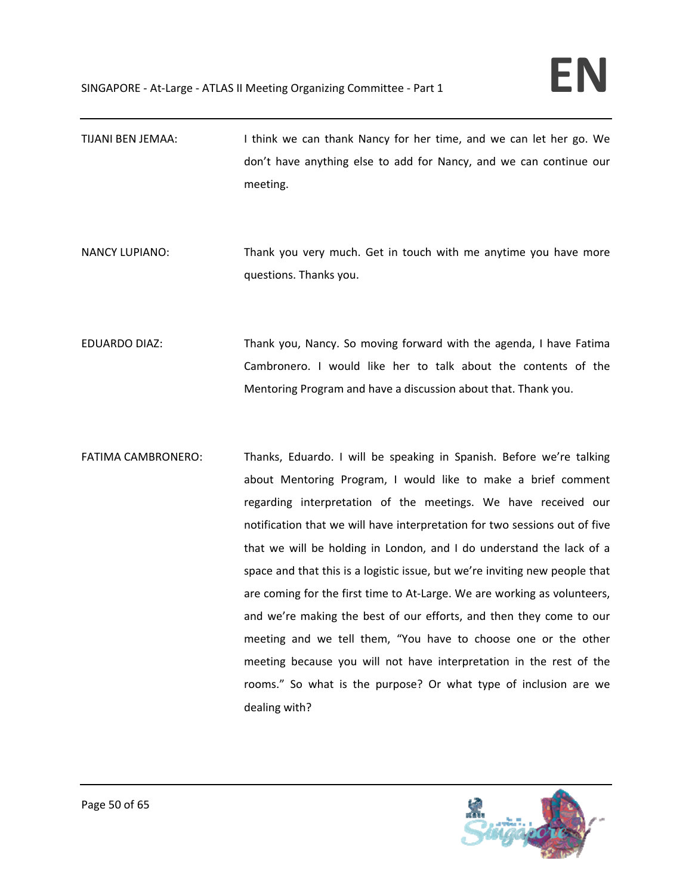- TIJANI BEN JEMAA: I think we can thank Nancy for her time, and we can let her go. We don't have anything else to add for Nancy, and we can continue our meeting.
- NANCY LUPIANO: Thank you very much. Get in touch with me anytime you have more questions. Thanks you.
- EDUARDO DIAZ: Thank you, Nancy. So moving forward with the agenda, I have Fatima Cambronero. I would like her to talk about the contents of the Mentoring Program and have a discussion about that. Thank you.
- FATIMA CAMBRONERO: Thanks, Eduardo. I will be speaking in Spanish. Before we're talking about Mentoring Program, I would like to make a brief comment regarding interpretation of the meetings. We have received our notification that we will have interpretation for two sessions out of five that we will be holding in London, and I do understand the lack of a space and that this is a logistic issue, but we're inviting new people that are coming for the first time to At-Large. We are working as volunteers, and we're making the best of our efforts, and then they come to our meeting and we tell them, "You have to choose one or the other meeting because you will not have interpretation in the rest of the rooms." So what is the purpose? Or what type of inclusion are we dealing with?

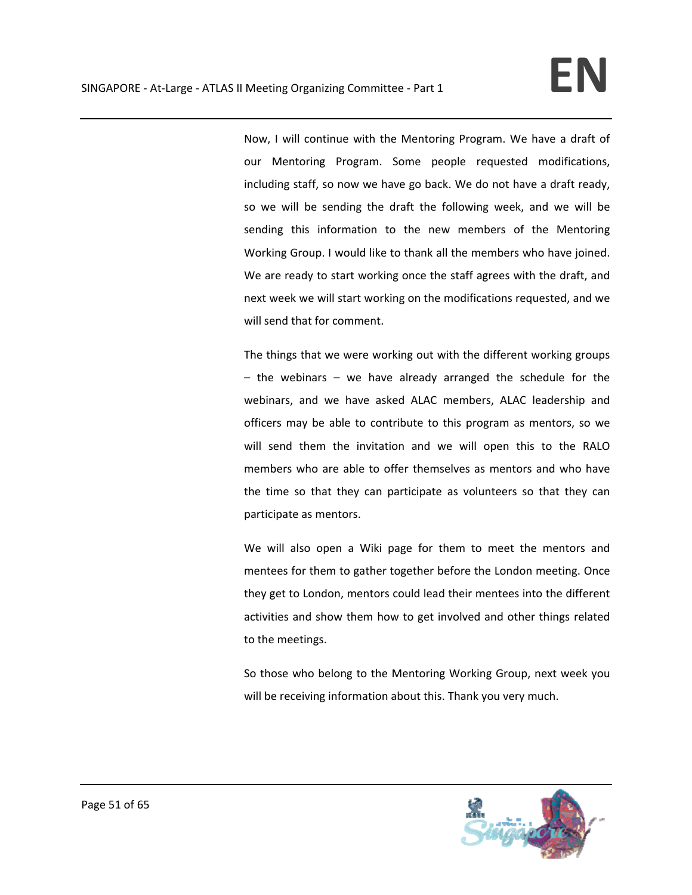Now, I will continue with the Mentoring Program. We have a draft of our Mentoring Program. Some people requested modifications, including staff, so now we have go back. We do not have a draft ready, so we will be sending the draft the following week, and we will be sending this information to the new members of the Mentoring Working Group. I would like to thank all the members who have joined. We are ready to start working once the staff agrees with the draft, and next week we will start working on the modifications requested, and we will send that for comment.

The things that we were working out with the different working groups – the webinars – we have already arranged the schedule for the webinars, and we have asked ALAC members, ALAC leadership and officers may be able to contribute to this program as mentors, so we will send them the invitation and we will open this to the RALO members who are able to offer themselves as mentors and who have the time so that they can participate as volunteers so that they can participate as mentors.

We will also open a Wiki page for them to meet the mentors and mentees for them to gather together before the London meeting. Once they get to London, mentors could lead their mentees into the different activities and show them how to get involved and other things related to the meetings.

So those who belong to the Mentoring Working Group, next week you will be receiving information about this. Thank you very much.

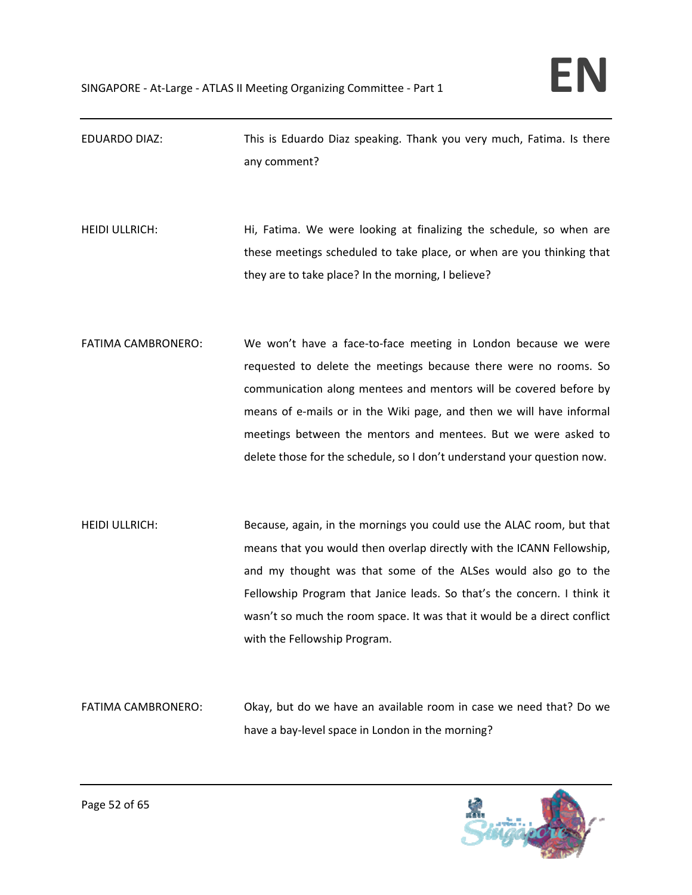- EDUARDO DIAZ: This is Eduardo Diaz speaking. Thank you very much, Fatima. Is there any comment?
- HEIDI ULLRICH: Hi, Fatima. We were looking at finalizing the schedule, so when are these meetings scheduled to take place, or when are you thinking that they are to take place? In the morning, I believe?
- FATIMA CAMBRONERO: We won't have a face-to-face meeting in London because we were requested to delete the meetings because there were no rooms. So communication along mentees and mentors will be covered before by means of e‐mails or in the Wiki page, and then we will have informal meetings between the mentors and mentees. But we were asked to delete those for the schedule, so I don't understand your question now.
- HEIDI ULLRICH: Because, again, in the mornings you could use the ALAC room, but that means that you would then overlap directly with the ICANN Fellowship, and my thought was that some of the ALSes would also go to the Fellowship Program that Janice leads. So that's the concern. I think it wasn't so much the room space. It was that it would be a direct conflict with the Fellowship Program.
- FATIMA CAMBRONERO: Okay, but do we have an available room in case we need that? Do we have a bay-level space in London in the morning?

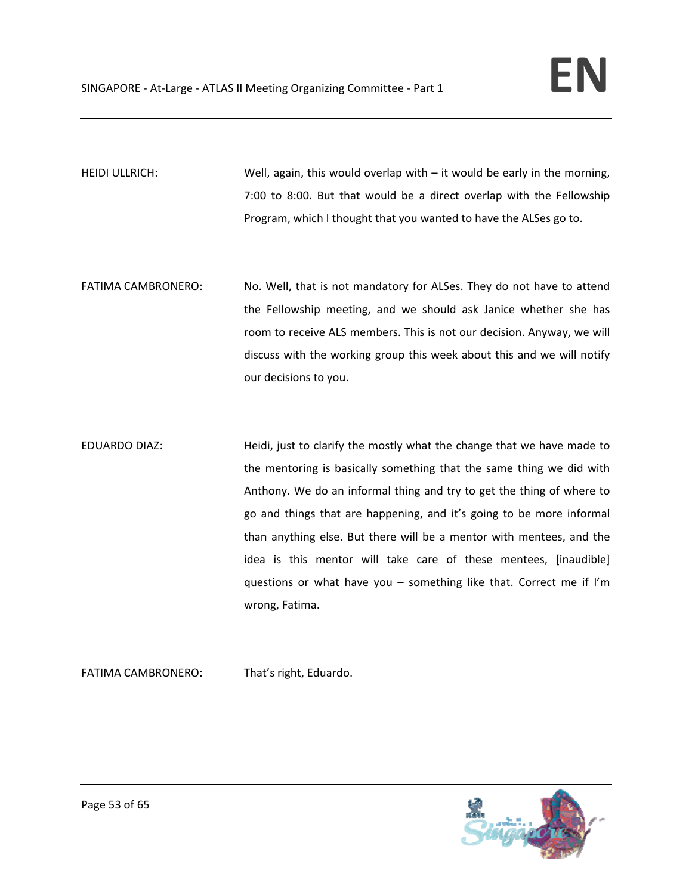HEIDI ULLRICH: Well, again, this would overlap with – it would be early in the morning, 7:00 to 8:00. But that would be a direct overlap with the Fellowship Program, which I thought that you wanted to have the ALSes go to.

- FATIMA CAMBRONERO: No. Well, that is not mandatory for ALSes. They do not have to attend the Fellowship meeting, and we should ask Janice whether she has room to receive ALS members. This is not our decision. Anyway, we will discuss with the working group this week about this and we will notify our decisions to you.
- EDUARDO DIAZ: Heidi, just to clarify the mostly what the change that we have made to the mentoring is basically something that the same thing we did with Anthony. We do an informal thing and try to get the thing of where to go and things that are happening, and it's going to be more informal than anything else. But there will be a mentor with mentees, and the idea is this mentor will take care of these mentees, [inaudible] questions or what have you – something like that. Correct me if I'm wrong, Fatima.

FATIMA CAMBRONERO: That's right, Eduardo.

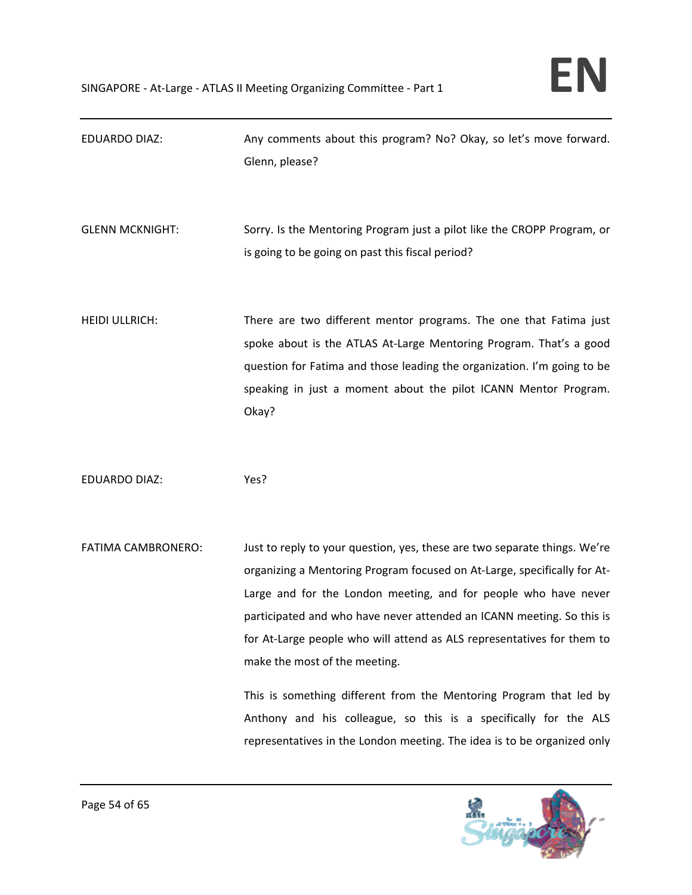| <b>EDUARDO DIAZ:</b>   | Any comments about this program? No? Okay, so let's move forward.<br>Glenn, please?                                                                                                                                                                                                                                                                                                                                                                                                                                                                                                                                               |
|------------------------|-----------------------------------------------------------------------------------------------------------------------------------------------------------------------------------------------------------------------------------------------------------------------------------------------------------------------------------------------------------------------------------------------------------------------------------------------------------------------------------------------------------------------------------------------------------------------------------------------------------------------------------|
| <b>GLENN MCKNIGHT:</b> | Sorry. Is the Mentoring Program just a pilot like the CROPP Program, or<br>is going to be going on past this fiscal period?                                                                                                                                                                                                                                                                                                                                                                                                                                                                                                       |
| <b>HEIDI ULLRICH:</b>  | There are two different mentor programs. The one that Fatima just<br>spoke about is the ATLAS At-Large Mentoring Program. That's a good<br>question for Fatima and those leading the organization. I'm going to be<br>speaking in just a moment about the pilot ICANN Mentor Program.<br>Okay?                                                                                                                                                                                                                                                                                                                                    |
| <b>EDUARDO DIAZ:</b>   | Yes?                                                                                                                                                                                                                                                                                                                                                                                                                                                                                                                                                                                                                              |
| FATIMA CAMBRONERO:     | Just to reply to your question, yes, these are two separate things. We're<br>organizing a Mentoring Program focused on At-Large, specifically for At-<br>Large and for the London meeting, and for people who have never<br>participated and who have never attended an ICANN meeting. So this is<br>for At-Large people who will attend as ALS representatives for them to<br>make the most of the meeting.<br>This is something different from the Mentoring Program that led by<br>Anthony and his colleague, so this is a specifically for the ALS<br>representatives in the London meeting. The idea is to be organized only |

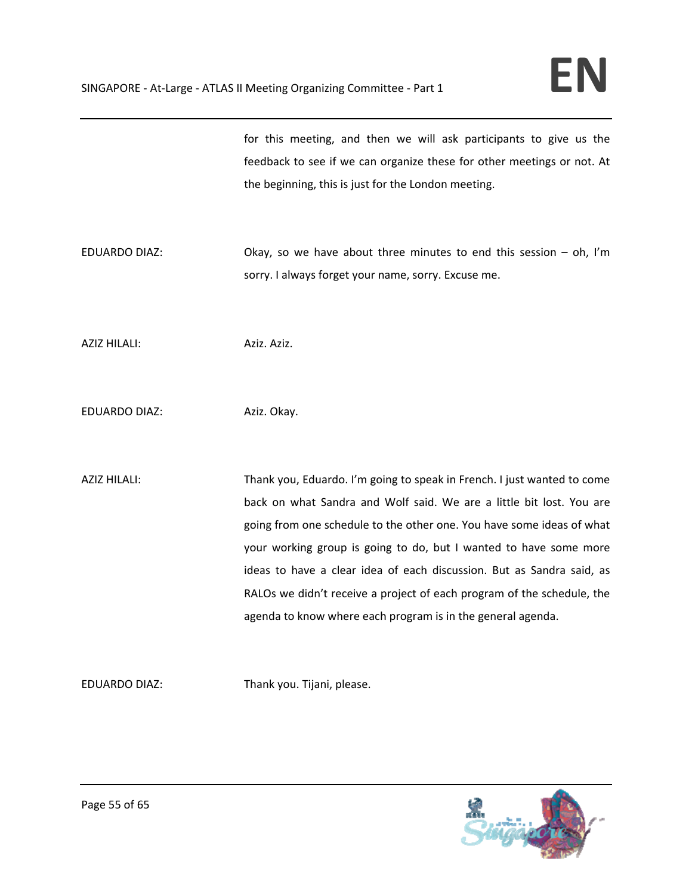for this meeting, and then we will ask participants to give us the feedback to see if we can organize these for other meetings or not. At the beginning, this is just for the London meeting.

EDUARDO DIAZ: Okay, so we have about three minutes to end this session – oh, I'm sorry. I always forget your name, sorry. Excuse me.

AZIZ HILALI: Aziz. Aziz. Aziz.

EDUARDO DIAZ: Aziz. Okay.

AZIZ HILALI: Thank you, Eduardo. I'm going to speak in French. I just wanted to come back on what Sandra and Wolf said. We are a little bit lost. You are going from one schedule to the other one. You have some ideas of what your working group is going to do, but I wanted to have some more ideas to have a clear idea of each discussion. But as Sandra said, as RALOs we didn't receive a project of each program of the schedule, the agenda to know where each program is in the general agenda.

EDUARDO DIAZ: Thank you. Tijani, please.

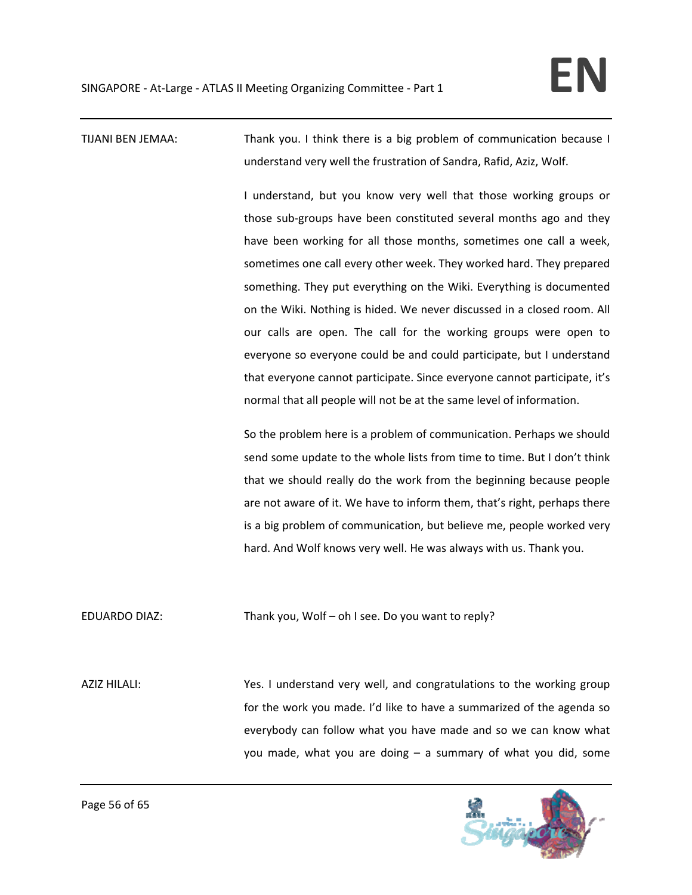TIJANI BEN JEMAA: Thank you. I think there is a big problem of communication because I understand very well the frustration of Sandra, Rafid, Aziz, Wolf.

> I understand, but you know very well that those working groups or those sub‐groups have been constituted several months ago and they have been working for all those months, sometimes one call a week, sometimes one call every other week. They worked hard. They prepared something. They put everything on the Wiki. Everything is documented on the Wiki. Nothing is hided. We never discussed in a closed room. All our calls are open. The call for the working groups were open to everyone so everyone could be and could participate, but I understand that everyone cannot participate. Since everyone cannot participate, it's normal that all people will not be at the same level of information.

> So the problem here is a problem of communication. Perhaps we should send some update to the whole lists from time to time. But I don't think that we should really do the work from the beginning because people are not aware of it. We have to inform them, that's right, perhaps there is a big problem of communication, but believe me, people worked very hard. And Wolf knows very well. He was always with us. Thank you.

EDUARDO DIAZ: Thank you, Wolf – oh I see. Do you want to reply?

AZIZ HILALI: Yes. I understand very well, and congratulations to the working group for the work you made. I'd like to have a summarized of the agenda so everybody can follow what you have made and so we can know what you made, what you are doing – a summary of what you did, some

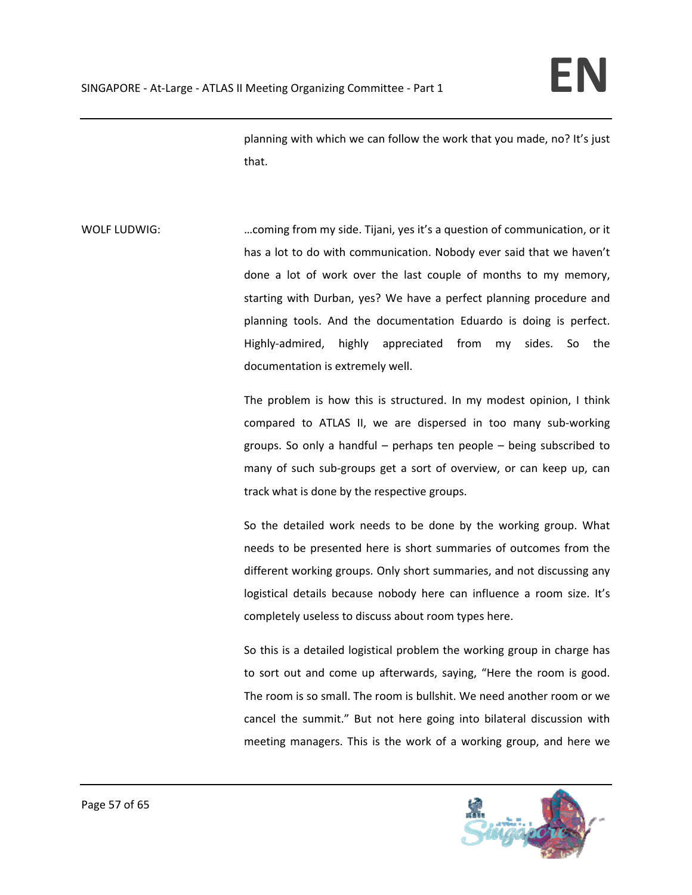planning with which we can follow the work that you made, no? It's just that.

WOLF LUDWIG: …coming from my side. Tijani, yes it's a question of communication, or it has a lot to do with communication. Nobody ever said that we haven't done a lot of work over the last couple of months to my memory, starting with Durban, yes? We have a perfect planning procedure and planning tools. And the documentation Eduardo is doing is perfect. Highly‐admired, highly appreciated from my sides. So the documentation is extremely well.

> The problem is how this is structured. In my modest opinion, I think compared to ATLAS II, we are dispersed in too many sub-working groups. So only a handful – perhaps ten people – being subscribed to many of such sub‐groups get a sort of overview, or can keep up, can track what is done by the respective groups.

> So the detailed work needs to be done by the working group. What needs to be presented here is short summaries of outcomes from the different working groups. Only short summaries, and not discussing any logistical details because nobody here can influence a room size. It's completely useless to discuss about room types here.

> So this is a detailed logistical problem the working group in charge has to sort out and come up afterwards, saying, "Here the room is good. The room is so small. The room is bullshit. We need another room or we cancel the summit." But not here going into bilateral discussion with meeting managers. This is the work of a working group, and here we

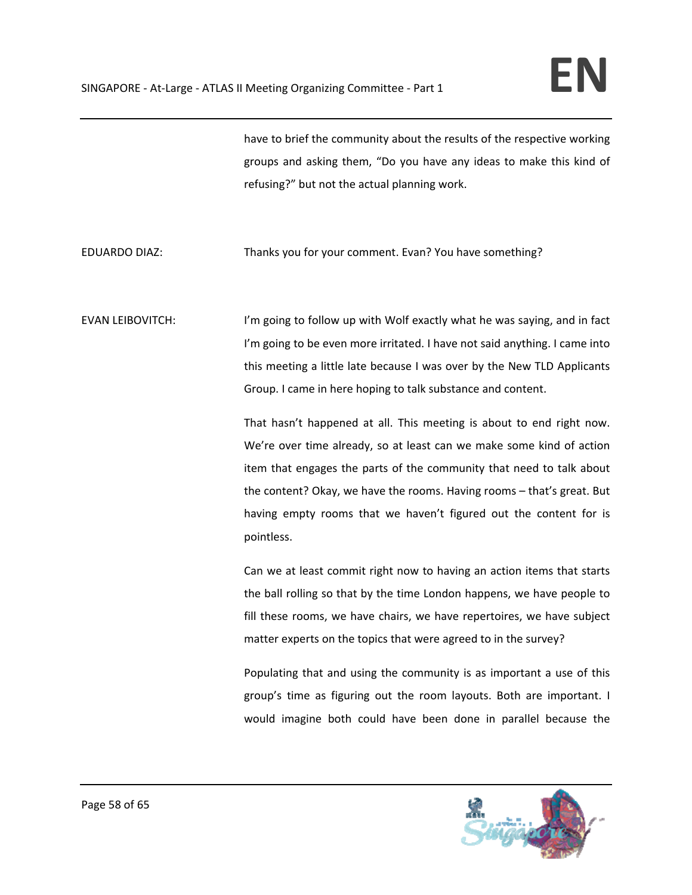have to brief the community about the results of the respective working groups and asking them, "Do you have any ideas to make this kind of refusing?" but not the actual planning work.

## EDUARDO DIAZ: Thanks you for your comment. Evan? You have something?

EVAN LEIBOVITCH: I'm going to follow up with Wolf exactly what he was saying, and in fact I'm going to be even more irritated. I have not said anything. I came into this meeting a little late because I was over by the New TLD Applicants Group. I came in here hoping to talk substance and content.

> That hasn't happened at all. This meeting is about to end right now. We're over time already, so at least can we make some kind of action item that engages the parts of the community that need to talk about the content? Okay, we have the rooms. Having rooms – that's great. But having empty rooms that we haven't figured out the content for is pointless.

> Can we at least commit right now to having an action items that starts the ball rolling so that by the time London happens, we have people to fill these rooms, we have chairs, we have repertoires, we have subject matter experts on the topics that were agreed to in the survey?

> Populating that and using the community is as important a use of this group's time as figuring out the room layouts. Both are important. I would imagine both could have been done in parallel because the

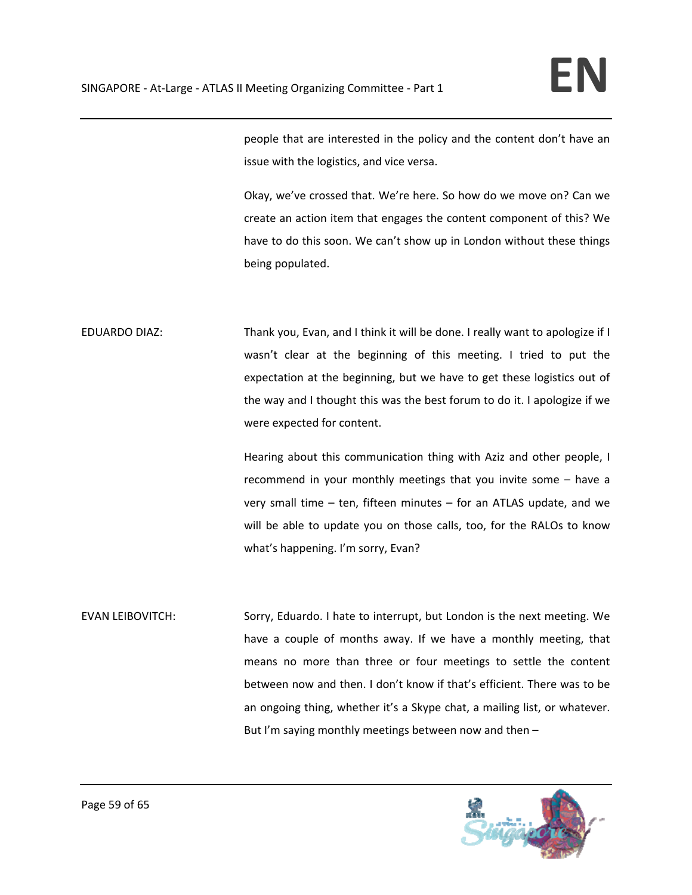people that are interested in the policy and the content don't have an issue with the logistics, and vice versa.

Okay, we've crossed that. We're here. So how do we move on? Can we create an action item that engages the content component of this? We have to do this soon. We can't show up in London without these things being populated.

EDUARDO DIAZ: Thank you, Evan, and I think it will be done. I really want to apologize if I wasn't clear at the beginning of this meeting. I tried to put the expectation at the beginning, but we have to get these logistics out of the way and I thought this was the best forum to do it. I apologize if we were expected for content.

> Hearing about this communication thing with Aziz and other people, I recommend in your monthly meetings that you invite some – have a very small time – ten, fifteen minutes – for an ATLAS update, and we will be able to update you on those calls, too, for the RALOs to know what's happening. I'm sorry, Evan?

EVAN LEIBOVITCH: Sorry, Eduardo. I hate to interrupt, but London is the next meeting. We have a couple of months away. If we have a monthly meeting, that means no more than three or four meetings to settle the content between now and then. I don't know if that's efficient. There was to be an ongoing thing, whether it's a Skype chat, a mailing list, or whatever. But I'm saying monthly meetings between now and then –

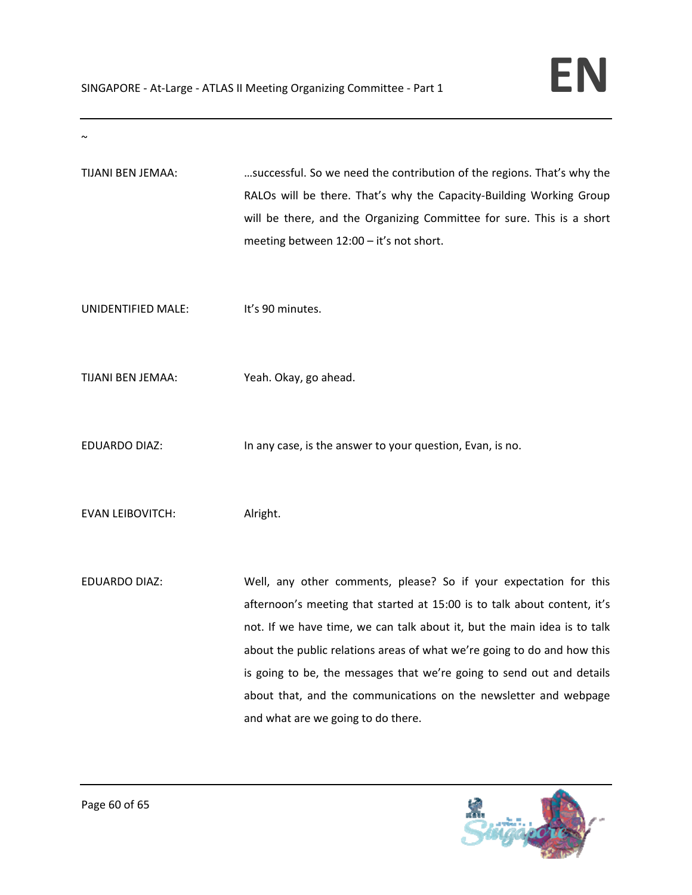| TIJANI BEN JEMAA:       | successful. So we need the contribution of the regions. That's why the<br>RALOs will be there. That's why the Capacity-Building Working Group<br>will be there, and the Organizing Committee for sure. This is a short<br>meeting between 12:00 - it's not short.                                                                                                                                                                                                                       |
|-------------------------|-----------------------------------------------------------------------------------------------------------------------------------------------------------------------------------------------------------------------------------------------------------------------------------------------------------------------------------------------------------------------------------------------------------------------------------------------------------------------------------------|
| UNIDENTIFIED MALE:      | It's 90 minutes.                                                                                                                                                                                                                                                                                                                                                                                                                                                                        |
| TIJANI BEN JEMAA:       | Yeah. Okay, go ahead.                                                                                                                                                                                                                                                                                                                                                                                                                                                                   |
| <b>EDUARDO DIAZ:</b>    | In any case, is the answer to your question, Evan, is no.                                                                                                                                                                                                                                                                                                                                                                                                                               |
| <b>EVAN LEIBOVITCH:</b> | Alright.                                                                                                                                                                                                                                                                                                                                                                                                                                                                                |
| <b>EDUARDO DIAZ:</b>    | Well, any other comments, please? So if your expectation for this<br>afternoon's meeting that started at 15:00 is to talk about content, it's<br>not. If we have time, we can talk about it, but the main idea is to talk<br>about the public relations areas of what we're going to do and how this<br>is going to be, the messages that we're going to send out and details<br>about that, and the communications on the newsletter and webpage<br>and what are we going to do there. |



 $\sim$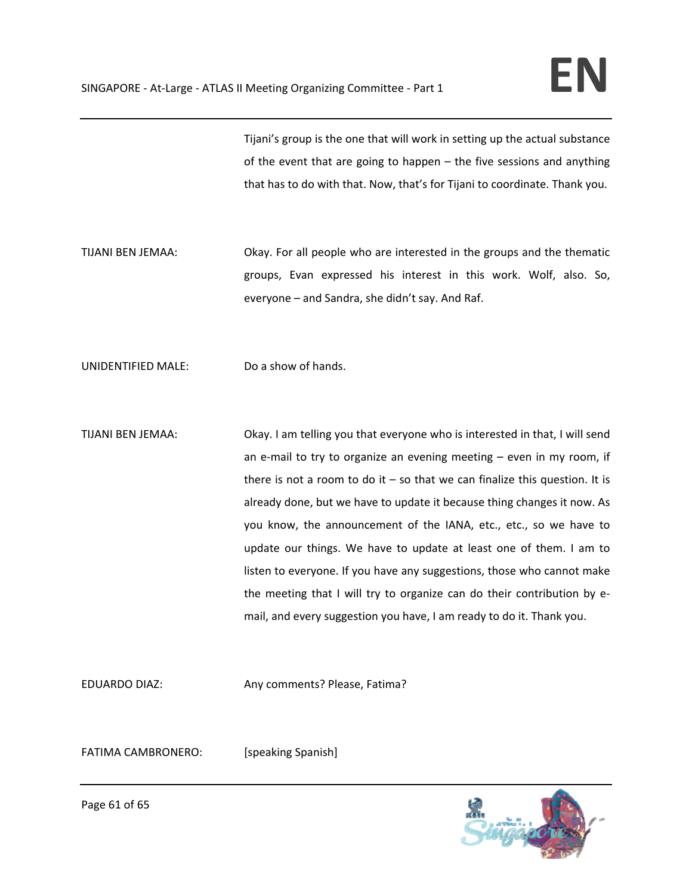Tijani's group is the one that will work in setting up the actual substance of the event that are going to happen – the five sessions and anything that has to do with that. Now, that's for Tijani to coordinate. Thank you.

TIJANI BEN JEMAA: Okay. For all people who are interested in the groups and the thematic groups, Evan expressed his interest in this work. Wolf, also. So, everyone – and Sandra, she didn't say. And Raf.

UNIDENTIFIED MALE: Do a show of hands.

TIJANI BEN JEMAA: Okay. I am telling you that everyone who is interested in that, I will send an e-mail to try to organize an evening meeting  $-$  even in my room, if there is not a room to do it  $-$  so that we can finalize this question. It is already done, but we have to update it because thing changes it now. As you know, the announcement of the IANA, etc., etc., so we have to update our things. We have to update at least one of them. I am to listen to everyone. If you have any suggestions, those who cannot make the meeting that I will try to organize can do their contribution by e‐ mail, and every suggestion you have, I am ready to do it. Thank you.

EDUARDO DIAZ: Any comments? Please, Fatima?

FATIMA CAMBRONERO: [speaking Spanish]



Page 61 of 65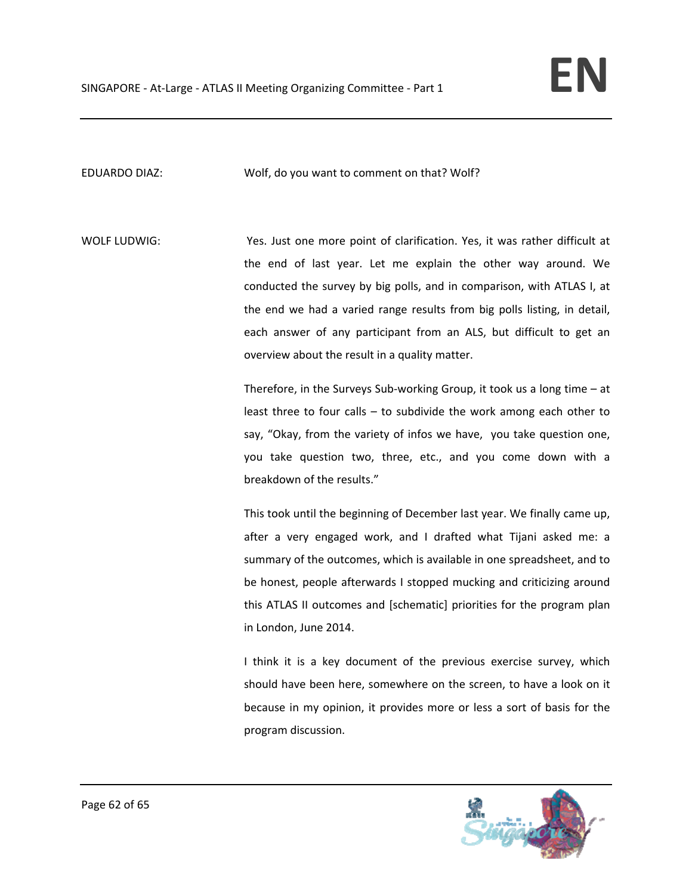EDUARDO DIAZ: Wolf, do you want to comment on that? Wolf?

WOLF LUDWIG: Yes. Just one more point of clarification. Yes, it was rather difficult at the end of last year. Let me explain the other way around. We conducted the survey by big polls, and in comparison, with ATLAS I, at the end we had a varied range results from big polls listing, in detail, each answer of any participant from an ALS, but difficult to get an overview about the result in a quality matter.

> Therefore, in the Surveys Sub‐working Group, it took us a long time – at least three to four calls – to subdivide the work among each other to say, "Okay, from the variety of infos we have, you take question one, you take question two, three, etc., and you come down with a breakdown of the results."

> This took until the beginning of December last year. We finally came up, after a very engaged work, and I drafted what Tijani asked me: a summary of the outcomes, which is available in one spreadsheet, and to be honest, people afterwards I stopped mucking and criticizing around this ATLAS II outcomes and [schematic] priorities for the program plan in London, June 2014.

> I think it is a key document of the previous exercise survey, which should have been here, somewhere on the screen, to have a look on it because in my opinion, it provides more or less a sort of basis for the program discussion.

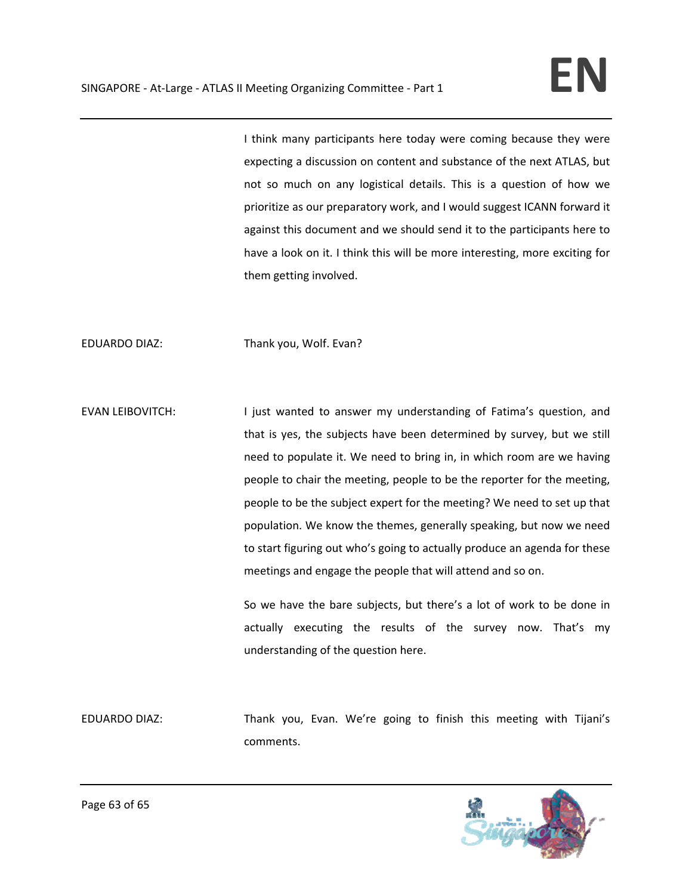I think many participants here today were coming because they were expecting a discussion on content and substance of the next ATLAS, but not so much on any logistical details. This is a question of how we prioritize as our preparatory work, and I would suggest ICANN forward it against this document and we should send it to the participants here to have a look on it. I think this will be more interesting, more exciting for them getting involved.

EDUARDO DIAZ: Thank you, Wolf. Evan?

EVAN LEIBOVITCH: I just wanted to answer my understanding of Fatima's question, and that is yes, the subjects have been determined by survey, but we still need to populate it. We need to bring in, in which room are we having people to chair the meeting, people to be the reporter for the meeting, people to be the subject expert for the meeting? We need to set up that population. We know the themes, generally speaking, but now we need to start figuring out who's going to actually produce an agenda for these meetings and engage the people that will attend and so on.

> So we have the bare subjects, but there's a lot of work to be done in actually executing the results of the survey now. That's my understanding of the question here.

EDUARDO DIAZ: Thank you, Evan. We're going to finish this meeting with Tijani's comments.

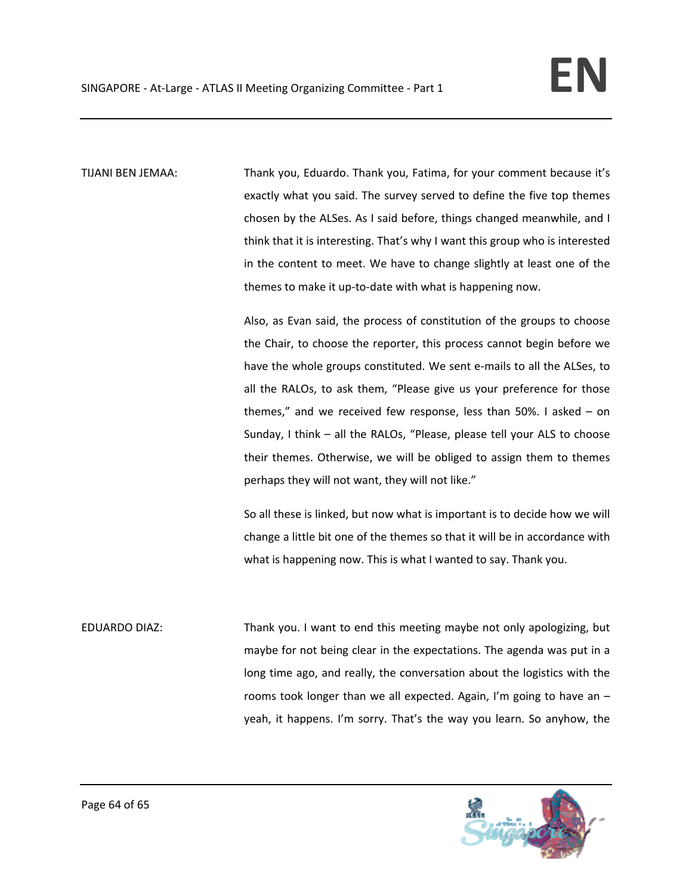TIJANI BEN JEMAA: Thank you, Eduardo. Thank you, Fatima, for your comment because it's exactly what you said. The survey served to define the five top themes chosen by the ALSes. As I said before, things changed meanwhile, and I think that it is interesting. That's why I want this group who is interested in the content to meet. We have to change slightly at least one of the themes to make it up-to-date with what is happening now.

> Also, as Evan said, the process of constitution of the groups to choose the Chair, to choose the reporter, this process cannot begin before we have the whole groups constituted. We sent e-mails to all the ALSes, to all the RALOs, to ask them, "Please give us your preference for those themes," and we received few response, less than 50%. I asked – on Sunday, I think – all the RALOs, "Please, please tell your ALS to choose their themes. Otherwise, we will be obliged to assign them to themes perhaps they will not want, they will not like."

> So all these is linked, but now what is important is to decide how we will change a little bit one of the themes so that it will be in accordance with what is happening now. This is what I wanted to say. Thank you.

EDUARDO DIAZ: Thank you. I want to end this meeting maybe not only apologizing, but maybe for not being clear in the expectations. The agenda was put in a long time ago, and really, the conversation about the logistics with the rooms took longer than we all expected. Again, I'm going to have an – yeah, it happens. I'm sorry. That's the way you learn. So anyhow, the